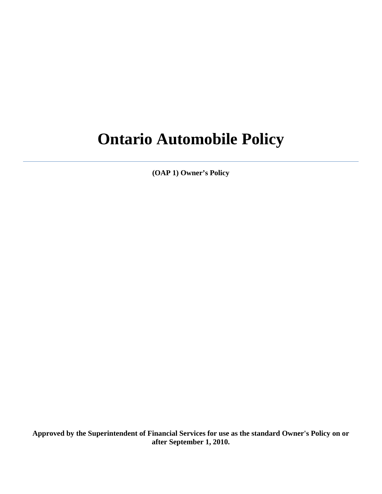# <span id="page-0-0"></span>**Ontario Automobile Policy**

**(OAP 1) Owner's Policy** 

**Approved by the Superintendent of Financial Services for use as the standard Owner's Policy on or after September 1, 2010.**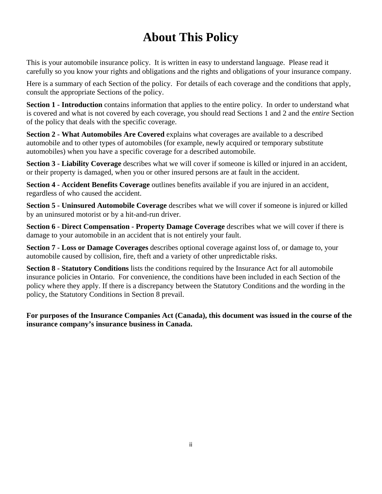# **About This Policy**

This is your automobile insurance policy. It is written in easy to understand language. Please read it carefully so you know your rights and obligations and the rights and obligations of your insurance company.

Here is a summary of each Section of the policy. For details of each coverage and the conditions that apply, consult the appropriate Sections of the policy.

**Section 1 - Introduction** contains information that applies to the entire policy. In order to understand what is covered and what is not covered by each coverage, you should read Sections 1 and 2 and the *entire* Section of the policy that deals with the specific coverage.

**Section 2 - What Automobiles Are Covered** explains what coverages are available to a described automobile and to other types of automobiles (for example, newly acquired or temporary substitute automobiles) when you have a specific coverage for a described automobile.

**Section 3 - Liability Coverage** describes what we will cover if someone is killed or injured in an accident, or their property is damaged, when you or other insured persons are at fault in the accident.

**Section 4 - Accident Benefits Coverage** outlines benefits available if you are injured in an accident, regardless of who caused the accident.

**Section 5 - Uninsured Automobile Coverage** describes what we will cover if someone is injured or killed by an uninsured motorist or by a hit-and-run driver.

**Section 6 - Direct Compensation - Property Damage Coverage** describes what we will cover if there is damage to your automobile in an accident that is not entirely your fault.

**Section 7 - Loss or Damage Coverages** describes optional coverage against loss of, or damage to, your automobile caused by collision, fire, theft and a variety of other unpredictable risks.

**Section 8 - Statutory Conditions** lists the conditions required by the Insurance Act for all automobile insurance policies in Ontario. For convenience, the conditions have been included in each Section of the policy where they apply. If there is a discrepancy between the Statutory Conditions and the wording in the policy, the Statutory Conditions in Section 8 prevail.

**For purposes of the Insurance Companies Act (Canada), this document was issued in the course of the insurance company's insurance business in Canada.**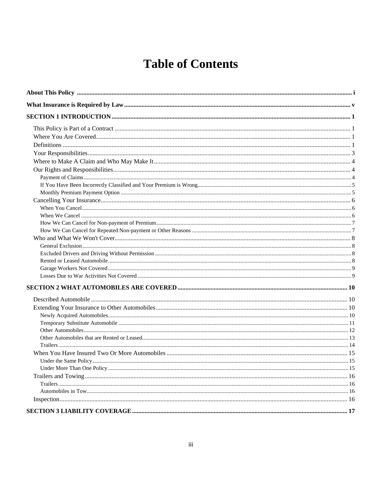# **Table of Contents**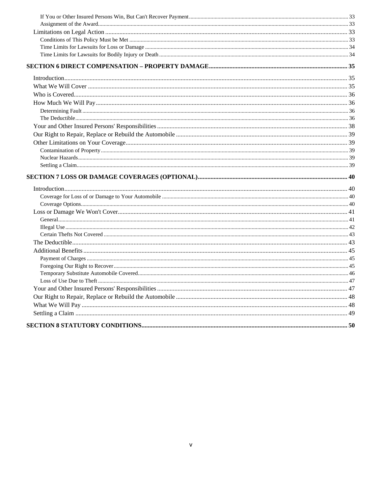<span id="page-4-0"></span>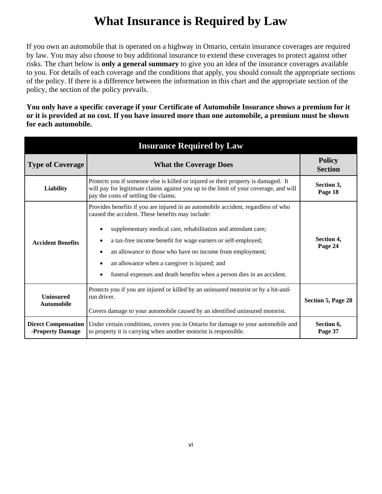# **What Insurance is Required by Law**

If you own an automobile that is operated on a highway in Ontario, certain insurance coverages are required by law. You may also choose to buy additional insurance to extend these coverages to protect against other risks. The chart below is **only a general summary** to give you an idea of the insurance coverages available to you. For details of each coverage and the conditions that apply, you should consult the appropriate sections of the policy. If there is a difference between the information in this chart and the appropriate section of the policy, the section of the policy prevails.

**You only have a specific coverage if your Certificate of Automobile Insurance shows a premium for it or it is provided at no cost. If you have insured more than one automobile, a premium must be shown for each automobile.** 

| <b>Insurance Required by Law</b>               |                                                                                                                                                                                                                                                                                                                                                                                                                                                                                   |                                 |  |
|------------------------------------------------|-----------------------------------------------------------------------------------------------------------------------------------------------------------------------------------------------------------------------------------------------------------------------------------------------------------------------------------------------------------------------------------------------------------------------------------------------------------------------------------|---------------------------------|--|
| <b>Type of Coverage</b>                        | <b>What the Coverage Does</b>                                                                                                                                                                                                                                                                                                                                                                                                                                                     | <b>Policy</b><br><b>Section</b> |  |
| <b>Liability</b>                               | Protects you if someone else is killed or injured or their property is damaged. It<br>will pay for legitimate claims against you up to the limit of your coverage, and will<br>pay the costs of settling the claims.                                                                                                                                                                                                                                                              | Section 3,<br>Page 18           |  |
| <b>Accident Benefits</b>                       | Provides benefits if you are injured in an automobile accident, regardless of who<br>caused the accident. These benefits may include:<br>supplementary medical care, rehabilitation and attendant care;<br>a tax-free income benefit for wage earners or self-employed;<br>٠<br>an allowance to those who have no income from employment;<br>$\bullet$<br>an allowance when a caregiver is injured; and<br>funeral expenses and death benefits when a person dies in an accident. | Section 4,<br>Page 24           |  |
| <b>Uninsured</b><br><b>Automobile</b>          | Protects you if you are injured or killed by an uninsured motorist or by a hit-and-<br>run driver.<br>Covers damage to your automobile caused by an identified uninsured motorist.                                                                                                                                                                                                                                                                                                | Section 5, Page 28              |  |
| <b>Direct Compensation</b><br>-Property Damage | Under certain conditions, covers you in Ontario for damage to your automobile and<br>to property it is carrying when another motorist is responsible.                                                                                                                                                                                                                                                                                                                             | Section 6,<br>Page 37           |  |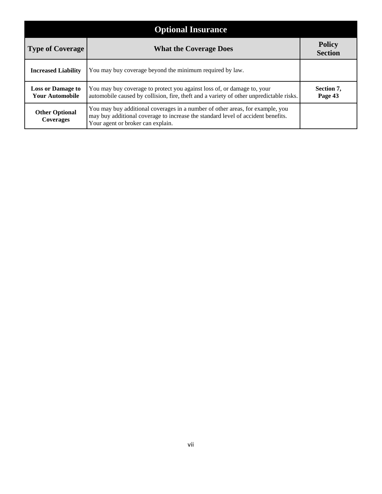| <b>Optional Insurance</b>                          |                                                                                                                                                                                                        |                       |  |
|----------------------------------------------------|--------------------------------------------------------------------------------------------------------------------------------------------------------------------------------------------------------|-----------------------|--|
| <b>Type of Coverage</b>                            | <b>What the Coverage Does</b>                                                                                                                                                                          |                       |  |
| <b>Increased Liability</b>                         | You may buy coverage beyond the minimum required by law.                                                                                                                                               |                       |  |
| <b>Loss or Damage to</b><br><b>Your Automobile</b> | You may buy coverage to protect you against loss of, or damage to, your<br>automobile caused by collision, fire, theft and a variety of other unpredictable risks.                                     | Section 7,<br>Page 43 |  |
| <b>Other Optional</b><br><b>Coverages</b>          | You may buy additional coverages in a number of other areas, for example, you<br>may buy additional coverage to increase the standard level of accident benefits.<br>Your agent or broker can explain. |                       |  |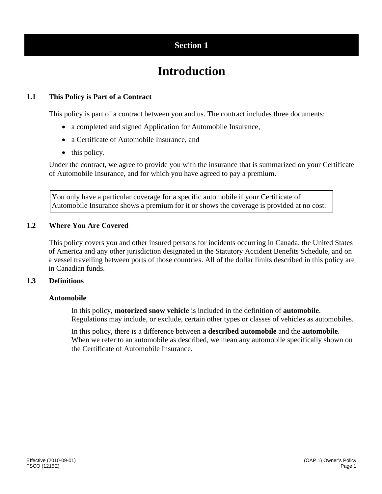# **Section 1**

# **Introduction**

# **1.1 This Policy is Part of a Contract**

This policy is part of a contract between you and us. The contract includes three documents:

- a completed and signed Application for Automobile Insurance,
- a Certificate of Automobile Insurance, and
- this policy.

Under the contract, we agree to provide you with the insurance that is summarized on your Certificate of Automobile Insurance, and for which you have agreed to pay a premium.

You only have a particular coverage for a specific automobile if your Certificate of Automobile Insurance shows a premium for it or shows the coverage is provided at no cost.

# **1.2 Where You Are Covered**

This policy covers you and other insured persons for incidents occurring in Canada, the United States of America and any other jurisdiction designated in the Statutory Accident Benefits Schedule, and on a vessel travelling between ports of those countries. All of the dollar limits described in this policy are in Canadian funds.

# **1.3 Definitions**

#### **Automobile**

In this policy, **motorized snow vehicle** is included in the definition of **automobile**. Regulations may include, or exclude, certain other types or classes of vehicles as automobiles.

In this policy, there is a difference between **a described automobile** and the **automobile**. When we refer to an automobile as described, we mean any automobile specifically shown on the Certificate of Automobile Insurance.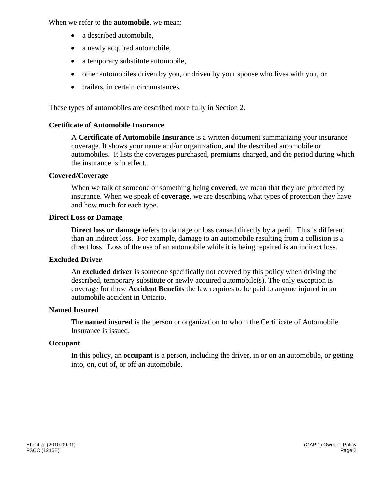When we refer to the **automobile**, we mean:

- a described automobile,
- a newly acquired automobile,
- a temporary substitute automobile,
- other automobiles driven by you, or driven by your spouse who lives with you, or
- trailers, in certain circumstances.

These types of automobiles are described more fully in Section 2.

#### **Certificate of Automobile Insurance**

A **Certificate of Automobile Insurance** is a written document summarizing your insurance coverage. It shows your name and/or organization, and the described automobile or automobiles. It lists the coverages purchased, premiums charged, and the period during which the insurance is in effect.

#### **Covered/Coverage**

When we talk of someone or something being **covered**, we mean that they are protected by insurance. When we speak of **coverage**, we are describing what types of protection they have and how much for each type.

#### **Direct Loss or Damage**

**Direct loss or damage** refers to damage or loss caused directly by a peril. This is different than an indirect loss. For example, damage to an automobile resulting from a collision is a direct loss. Loss of the use of an automobile while it is being repaired is an indirect loss.

#### **Excluded Driver**

An **excluded driver** is someone specifically not covered by this policy when driving the described, temporary substitute or newly acquired automobile(s). The only exception is coverage for those **Accident Benefits** the law requires to be paid to anyone injured in an automobile accident in Ontario.

#### **Named Insured**

The **named insured** is the person or organization to whom the Certificate of Automobile Insurance is issued.

#### **Occupant**

In this policy, an **occupant** is a person, including the driver, in or on an automobile, or getting into, on, out of, or off an automobile.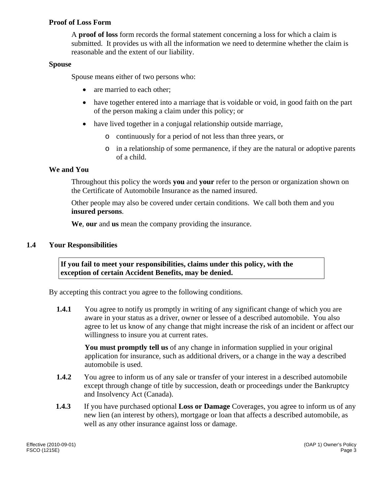# **Proof of Loss Form**

A **proof of loss** form records the formal statement concerning a loss for which a claim is submitted. It provides us with all the information we need to determine whether the claim is reasonable and the extent of our liability.

#### **Spouse**

Spouse means either of two persons who:

- are married to each other;
- have together entered into a marriage that is voidable or void, in good faith on the part of the person making a claim under this policy; or
- have lived together in a conjugal relationship outside marriage,
	- o continuously for a period of not less than three years, or
	- $\circ$  in a relationship of some permanence, if they are the natural or adoptive parents of a child.

### **We and You**

Throughout this policy the words **you** and **your** refer to the person or organization shown on the Certificate of Automobile Insurance as the named insured.

Other people may also be covered under certain conditions. We call both them and you **insured persons**.

**We**, **our** and **us** mean the company providing the insurance.

# **1.4 Your Responsibilities**

**If you fail to meet your responsibilities, claims under this policy, with the exception of certain Accident Benefits, may be denied.** 

By accepting this contract you agree to the following conditions.

**1.4.1** You agree to notify us promptly in writing of any significant change of which you are aware in your status as a driver, owner or lessee of a described automobile. You also agree to let us know of any change that might increase the risk of an incident or affect our willingness to insure you at current rates.

**You must promptly tell us** of any change in information supplied in your original application for insurance, such as additional drivers, or a change in the way a described automobile is used.

- **1.4.2** You agree to inform us of any sale or transfer of your interest in a described automobile except through change of title by succession, death or proceedings under the Bankruptcy and Insolvency Act (Canada).
- **1.4.3** If you have purchased optional **Loss or Damage** Coverages, you agree to inform us of any new lien (an interest by others), mortgage or loan that affects a described automobile, as well as any other insurance against loss or damage.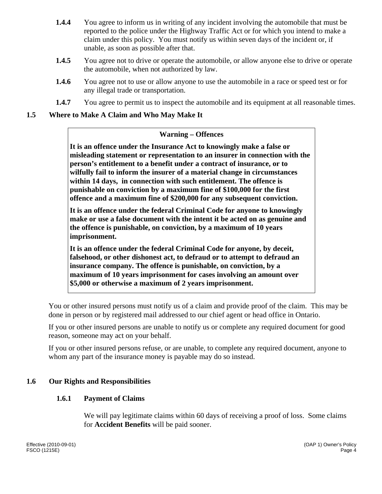- **1.4.4** You agree to inform us in writing of any incident involving the automobile that must be reported to the police under the Highway Traffic Act or for which you intend to make a claim under this policy. You must notify us within seven days of the incident or, if unable, as soon as possible after that.
- **1.4.5** You agree not to drive or operate the automobile, or allow anyone else to drive or operate the automobile, when not authorized by law.
- **1.4.6** You agree not to use or allow anyone to use the automobile in a race or speed test or for any illegal trade or transportation.
- **1.4.7** You agree to permit us to inspect the automobile and its equipment at all reasonable times.

# **1.5 Where to Make A Claim and Who May Make It**

### **Warning – Offences**

**It is an offence under the Insurance Act to knowingly make a false or misleading statement or representation to an insurer in connection with the person's entitlement to a benefit under a contract of insurance, or to wilfully fail to inform the insurer of a material change in circumstances within 14 days, in connection with such entitlement. The offence is punishable on conviction by a maximum fine of \$100,000 for the first offence and a maximum fine of \$200,000 for any subsequent conviction.** 

**It is an offence under the federal Criminal Code for anyone to knowingly make or use a false document with the intent it be acted on as genuine and the offence is punishable, on conviction, by a maximum of 10 years imprisonment.** 

**It is an offence under the federal Criminal Code for anyone, by deceit, falsehood, or other dishonest act, to defraud or to attempt to defraud an insurance company. The offence is punishable, on conviction, by a maximum of 10 years imprisonment for cases involving an amount over \$5,000 or otherwise a maximum of 2 years imprisonment.** 

You or other insured persons must notify us of a claim and provide proof of the claim. This may be done in person or by registered mail addressed to our chief agent or head office in Ontario.

If you or other insured persons are unable to notify us or complete any required document for good reason, someone may act on your behalf.

If you or other insured persons refuse, or are unable, to complete any required document, anyone to whom any part of the insurance money is payable may do so instead.

#### **1.6 Our Rights and Responsibilities**

#### **1.6.1 Payment of Claims**

We will pay legitimate claims within 60 days of receiving a proof of loss. Some claims for **Accident Benefits** will be paid sooner.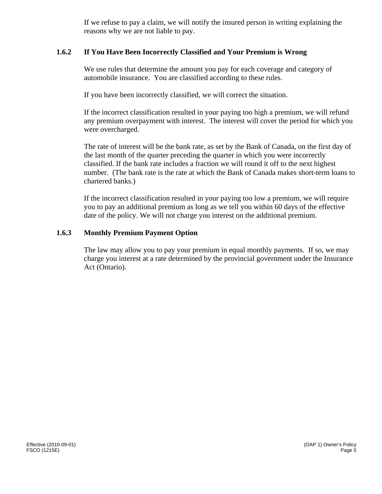If we refuse to pay a claim, we will notify the insured person in writing explaining the reasons why we are not liable to pay.

# **1.6.2 If You Have Been Incorrectly Classified and Your Premium is Wrong**

We use rules that determine the amount you pay for each coverage and category of automobile insurance. You are classified according to these rules.

If you have been incorrectly classified, we will correct the situation.

If the incorrect classification resulted in your paying too high a premium, we will refund any premium overpayment with interest. The interest will cover the period for which you were overcharged.

The rate of interest will be the bank rate, as set by the Bank of Canada, on the first day of the last month of the quarter preceding the quarter in which you were incorrectly classified. If the bank rate includes a fraction we will round it off to the next highest number. (The bank rate is the rate at which the Bank of Canada makes short-term loans to chartered banks.)

If the incorrect classification resulted in your paying too low a premium, we will require you to pay an additional premium as long as we tell you within 60 days of the effective date of the policy. We will not charge you interest on the additional premium.

#### **1.6.3 Monthly Premium Payment Option**

The law may allow you to pay your premium in equal monthly payments. If so, we may charge you interest at a rate determined by the provincial government under the Insurance Act (Ontario).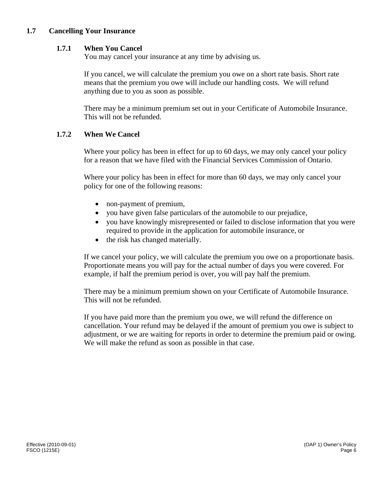# **1.7 Cancelling Your Insurance**

#### **1.7.1 When You Cancel**

You may cancel your insurance at any time by advising us.

If you cancel, we will calculate the premium you owe on a short rate basis. Short rate means that the premium you owe will include our handling costs. We will refund anything due to you as soon as possible.

There may be a minimum premium set out in your Certificate of Automobile Insurance. This will not be refunded.

### **1.7.2 When We Cancel**

Where your policy has been in effect for up to 60 days, we may only cancel your policy for a reason that we have filed with the Financial Services Commission of Ontario.

Where your policy has been in effect for more than 60 days, we may only cancel your policy for one of the following reasons:

- non-payment of premium,
- you have given false particulars of the automobile to our prejudice,
- you have knowingly misrepresented or failed to disclose information that you were required to provide in the application for automobile insurance, or
- the risk has changed materially.

If we cancel your policy, we will calculate the premium you owe on a proportionate basis. Proportionate means you will pay for the actual number of days you were covered. For example, if half the premium period is over, you will pay half the premium.

There may be a minimum premium shown on your Certificate of Automobile Insurance. This will not be refunded.

If you have paid more than the premium you owe, we will refund the difference on cancellation. Your refund may be delayed if the amount of premium you owe is subject to adjustment, or we are waiting for reports in order to determine the premium paid or owing. We will make the refund as soon as possible in that case.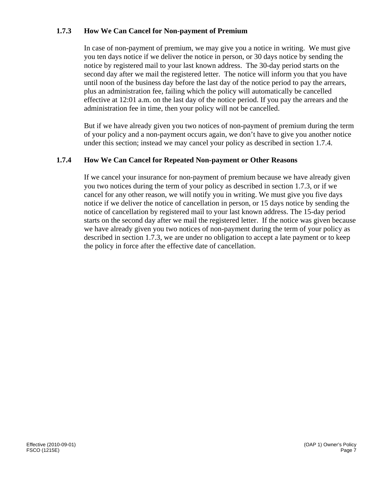## **1.7.3 How We Can Cancel for Non-payment of Premium**

In case of non-payment of premium, we may give you a notice in writing. We must give you ten days notice if we deliver the notice in person, or 30 days notice by sending the notice by registered mail to your last known address. The 30-day period starts on the second day after we mail the registered letter. The notice will inform you that you have until noon of the business day before the last day of the notice period to pay the arrears, plus an administration fee, failing which the policy will automatically be cancelled effective at 12:01 a.m. on the last day of the notice period. If you pay the arrears and the administration fee in time, then your policy will not be cancelled.

But if we have already given you two notices of non-payment of premium during the term of your policy and a non-payment occurs again, we don't have to give you another notice under this section; instead we may cancel your policy as described in section 1.7.4.

### **1.7.4 How We Can Cancel for Repeated Non-payment or Other Reasons**

If we cancel your insurance for non-payment of premium because we have already given you two notices during the term of your policy as described in section 1.7.3, or if we cancel for any other reason, we will notify you in writing. We must give you five days notice if we deliver the notice of cancellation in person, or 15 days notice by sending the notice of cancellation by registered mail to your last known address. The 15-day period starts on the second day after we mail the registered letter. If the notice was given because we have already given you two notices of non-payment during the term of your policy as described in section 1.7.3, we are under no obligation to accept a late payment or to keep the policy in force after the effective date of cancellation.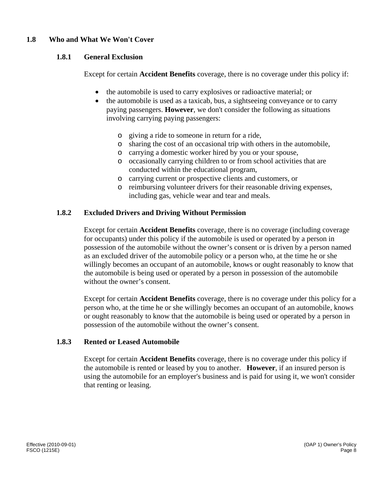# **1.8 Who and What We Won't Cover**

# **1.8.1 General Exclusion**

Except for certain **Accident Benefits** coverage, there is no coverage under this policy if:

- the automobile is used to carry explosives or radioactive material; or
- the automobile is used as a taxicab, bus, a sightseeing conveyance or to carry paying passengers. **However**, we don't consider the following as situations involving carrying paying passengers:
	- o giving a ride to someone in return for a ride,
	- o sharing the cost of an occasional trip with others in the automobile,
	- o carrying a domestic worker hired by you or your spouse,
	- o occasionally carrying children to or from school activities that are conducted within the educational program,
	- o carrying current or prospective clients and customers, or
	- o reimbursing volunteer drivers for their reasonable driving expenses, including gas, vehicle wear and tear and meals.

### **1.8.2 Excluded Drivers and Driving Without Permission**

Except for certain **Accident Benefits** coverage, there is no coverage (including coverage for occupants) under this policy if the automobile is used or operated by a person in possession of the automobile without the owner's consent or is driven by a person named as an excluded driver of the automobile policy or a person who, at the time he or she willingly becomes an occupant of an automobile, knows or ought reasonably to know that the automobile is being used or operated by a person in possession of the automobile without the owner's consent.

Except for certain **Accident Benefits** coverage, there is no coverage under this policy for a person who, at the time he or she willingly becomes an occupant of an automobile, knows or ought reasonably to know that the automobile is being used or operated by a person in possession of the automobile without the owner's consent.

#### **1.8.3 Rented or Leased Automobile**

Except for certain **Accident Benefits** coverage, there is no coverage under this policy if the automobile is rented or leased by you to another. **However**, if an insured person is using the automobile for an employer's business and is paid for using it, we won't consider that renting or leasing.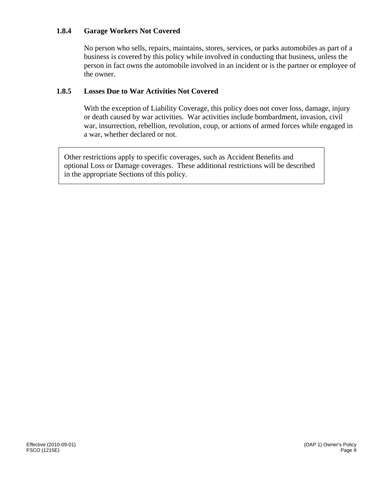# **1.8.4 Garage Workers Not Covered**

No person who sells, repairs, maintains, stores, services, or parks automobiles as part of a business is covered by this policy while involved in conducting that business, unless the person in fact owns the automobile involved in an incident or is the partner or employee of the owner.

# **1.8.5 Losses Due to War Activities Not Covered**

With the exception of Liability Coverage, this policy does not cover loss, damage, injury or death caused by war activities. War activities include bombardment, invasion, civil war, insurrection, rebellion, revolution, coup, or actions of armed forces while engaged in a war, whether declared or not.

Other restrictions apply to specific coverages, such as Accident Benefits and optional Loss or Damage coverages. These additional restrictions will be described in the appropriate Sections of this policy.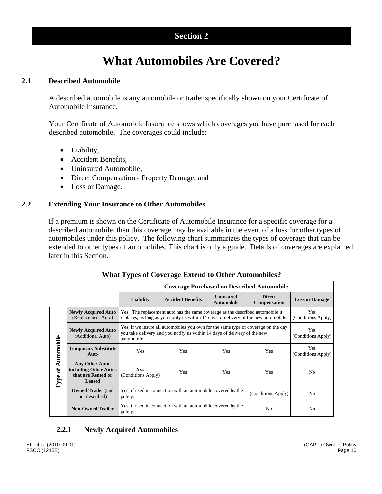# **What Automobiles Are Covered?**

#### **2.1 Described Automobile**

A described automobile is any automobile or trailer specifically shown on your Certificate of Automobile Insurance.

Your Certificate of Automobile Insurance shows which coverages you have purchased for each described automobile. The coverages could include:

- Liability,
- Accident Benefits,
- Uninsured Automobile,
- Direct Compensation Property Damage, and
- Loss or Damage.

#### **2.2 Extending Your Insurance to Other Automobiles**

If a premium is shown on the Certificate of Automobile Insurance for a specific coverage for a described automobile, then this coverage may be available in the event of a loss for other types of automobiles under this policy. The following chart summarizes the types of coverage that can be extended to other types of automobiles. This chart is only a guide. Details of coverages are explained later in this Section.

|                    |                                                                                 | <b>Coverage Purchased on Described Automobile</b>                                                                                                                              |                          |                                       |                                      |                           |
|--------------------|---------------------------------------------------------------------------------|--------------------------------------------------------------------------------------------------------------------------------------------------------------------------------|--------------------------|---------------------------------------|--------------------------------------|---------------------------|
|                    |                                                                                 | <b>Liability</b>                                                                                                                                                               | <b>Accident Benefits</b> | <b>Uninsured</b><br><b>Automobile</b> | <b>Direct</b><br><b>Compensation</b> | <b>Loss or Damage</b>     |
|                    | <b>Newly Acquired Auto</b><br>(Replacement Auto)                                | Yes. The replacement auto has the same coverage as the described automobile it<br>replaces, as long as you notify us within 14 days of delivery of the new automobile.         |                          |                                       |                                      | Yes<br>(Conditions Apply) |
|                    | <b>Newly Acquired Auto</b><br>(Additional Auto)                                 | Yes, if we insure all automobiles you own for the same type of coverage on the day<br>you take delivery and you notify us within 14 days of delivery of the new<br>automobile. |                          |                                       |                                      | Yes<br>(Conditions Apply) |
| Type of Automobile | <b>Temporary Substitute</b><br>Auto                                             | Yes                                                                                                                                                                            | Yes                      | Yes                                   | Yes                                  | Yes<br>(Conditions Apply) |
|                    | Any Other Auto,<br>including Other Autos<br>that are Rented or<br><b>Leased</b> | <b>Yes</b><br>(Conditions Apply)                                                                                                                                               | Yes                      | Yes                                   | Yes                                  | No                        |
|                    | <b>Owned Trailer (and</b><br>not described)                                     | Yes, if used in connection with an automobile covered by the<br>policy.                                                                                                        |                          |                                       | (Conditions Apply)                   | No                        |
|                    | <b>Non-Owned Trailer</b>                                                        | Yes, if used in connection with an automobile covered by the<br>policy.                                                                                                        |                          |                                       | N <sub>0</sub>                       | N <sub>0</sub>            |

#### **What Types of Coverage Extend to Other Automobiles?**

#### **2.2.1 Newly Acquired Automobiles**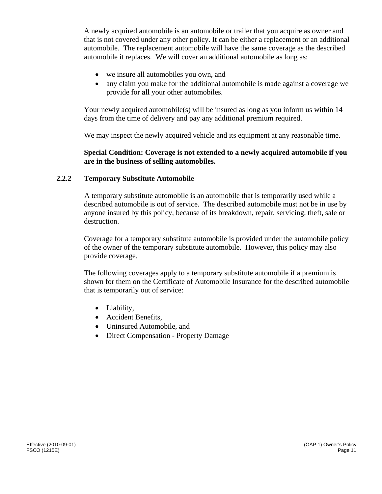A newly acquired automobile is an automobile or trailer that you acquire as owner and that is not covered under any other policy. It can be either a replacement or an additional automobile. The replacement automobile will have the same coverage as the described automobile it replaces. We will cover an additional automobile as long as:

- we insure all automobiles you own, and
- any claim you make for the additional automobile is made against a coverage we provide for **all** your other automobiles.

Your newly acquired automobile(s) will be insured as long as you inform us within 14 days from the time of delivery and pay any additional premium required.

We may inspect the newly acquired vehicle and its equipment at any reasonable time.

### **Special Condition: Coverage is not extended to a newly acquired automobile if you are in the business of selling automobiles.**

#### **2.2.2 Temporary Substitute Automobile**

A temporary substitute automobile is an automobile that is temporarily used while a described automobile is out of service. The described automobile must not be in use by anyone insured by this policy, because of its breakdown, repair, servicing, theft, sale or destruction.

Coverage for a temporary substitute automobile is provided under the automobile policy of the owner of the temporary substitute automobile. However, this policy may also provide coverage.

The following coverages apply to a temporary substitute automobile if a premium is shown for them on the Certificate of Automobile Insurance for the described automobile that is temporarily out of service:

- Liability,
- Accident Benefits,
- Uninsured Automobile, and
- Direct Compensation Property Damage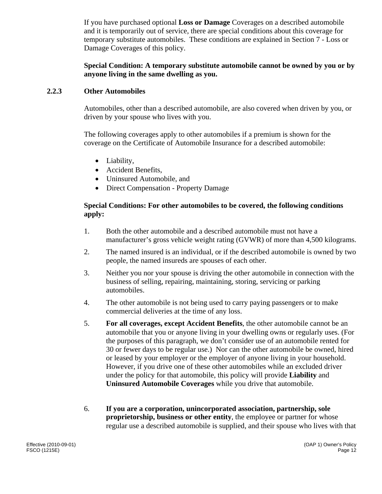If you have purchased optional **Loss or Damage** Coverages on a described automobile and it is temporarily out of service, there are special conditions about this coverage for temporary substitute automobiles. These conditions are explained in Section 7 - Loss or Damage Coverages of this policy.

# **Special Condition: A temporary substitute automobile cannot be owned by you or by anyone living in the same dwelling as you.**

### **2.2.3 Other Automobiles**

Automobiles, other than a described automobile, are also covered when driven by you, or driven by your spouse who lives with you.

The following coverages apply to other automobiles if a premium is shown for the coverage on the Certificate of Automobile Insurance for a described automobile:

- Liability,
- Accident Benefits,
- Uninsured Automobile, and
- Direct Compensation Property Damage

# **Special Conditions: For other automobiles to be covered, the following conditions apply:**

- 1. Both the other automobile and a described automobile must not have a manufacturer's gross vehicle weight rating (GVWR) of more than 4,500 kilograms.
- 2. The named insured is an individual, or if the described automobile is owned by two people, the named insureds are spouses of each other.
- 3. Neither you nor your spouse is driving the other automobile in connection with the business of selling, repairing, maintaining, storing, servicing or parking automobiles.
- 4. The other automobile is not being used to carry paying passengers or to make commercial deliveries at the time of any loss.
- 5. **For all coverages, except Accident Benefits**, the other automobile cannot be an automobile that you or anyone living in your dwelling owns or regularly uses. (For the purposes of this paragraph, we don't consider use of an automobile rented for 30 or fewer days to be regular use.) Nor can the other automobile be owned, hired or leased by your employer or the employer of anyone living in your household. However, if you drive one of these other automobiles while an excluded driver under the policy for that automobile, this policy will provide **Liability** and **Uninsured Automobile Coverages** while you drive that automobile.
- 6. **If you are a corporation, unincorporated association, partnership, sole proprietorship, business or other entity**, the employee or partner for whose regular use a described automobile is supplied, and their spouse who lives with that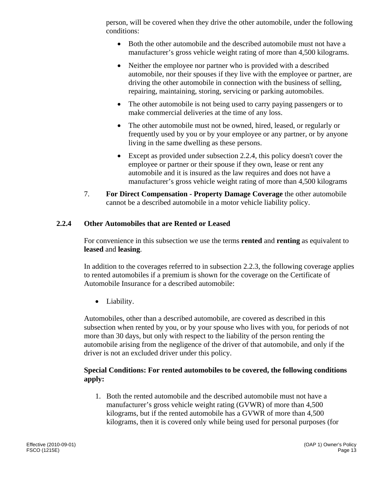person, will be covered when they drive the other automobile, under the following conditions:

- Both the other automobile and the described automobile must not have a manufacturer's gross vehicle weight rating of more than 4,500 kilograms.
- Neither the employee nor partner who is provided with a described automobile, nor their spouses if they live with the employee or partner, are driving the other automobile in connection with the business of selling, repairing, maintaining, storing, servicing or parking automobiles.
- The other automobile is not being used to carry paying passengers or to make commercial deliveries at the time of any loss.
- The other automobile must not be owned, hired, leased, or regularly or frequently used by you or by your employee or any partner, or by anyone living in the same dwelling as these persons.
- Except as provided under subsection 2.2.4, this policy doesn't cover the employee or partner or their spouse if they own, lease or rent any automobile and it is insured as the law requires and does not have a manufacturer's gross vehicle weight rating of more than 4,500 kilograms
- 7. **For Direct Compensation Property Damage Coverage** the other automobile cannot be a described automobile in a motor vehicle liability policy.

# **2.2.4 Other Automobiles that are Rented or Leased**

For convenience in this subsection we use the terms **rented** and **renting** as equivalent to **leased** and **leasing**.

In addition to the coverages referred to in subsection 2.2.3, the following coverage applies to rented automobiles if a premium is shown for the coverage on the Certificate of Automobile Insurance for a described automobile:

• Liability.

Automobiles, other than a described automobile, are covered as described in this subsection when rented by you, or by your spouse who lives with you, for periods of not more than 30 days, but only with respect to the liability of the person renting the automobile arising from the negligence of the driver of that automobile, and only if the driver is not an excluded driver under this policy.

# **Special Conditions: For rented automobiles to be covered, the following conditions apply:**

1. Both the rented automobile and the described automobile must not have a manufacturer's gross vehicle weight rating (GVWR) of more than 4,500 kilograms, but if the rented automobile has a GVWR of more than 4,500 kilograms, then it is covered only while being used for personal purposes (for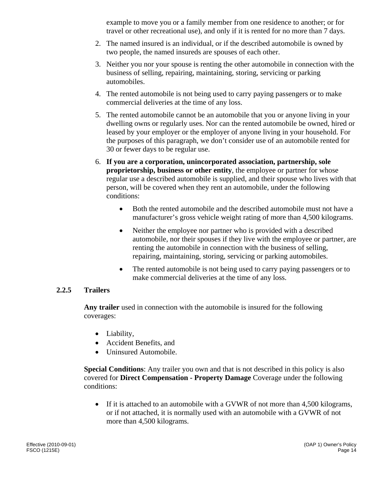example to move you or a family member from one residence to another; or for travel or other recreational use), and only if it is rented for no more than 7 days.

- 2. The named insured is an individual, or if the described automobile is owned by two people, the named insureds are spouses of each other.
- 3. Neither you nor your spouse is renting the other automobile in connection with the business of selling, repairing, maintaining, storing, servicing or parking automobiles.
- 4. The rented automobile is not being used to carry paying passengers or to make commercial deliveries at the time of any loss.
- 5. The rented automobile cannot be an automobile that you or anyone living in your dwelling owns or regularly uses. Nor can the rented automobile be owned, hired or leased by your employer or the employer of anyone living in your household. For the purposes of this paragraph, we don't consider use of an automobile rented for 30 or fewer days to be regular use.
- 6. **If you are a corporation, unincorporated association, partnership, sole proprietorship, business or other entity**, the employee or partner for whose regular use a described automobile is supplied, and their spouse who lives with that person, will be covered when they rent an automobile, under the following conditions:
	- Both the rented automobile and the described automobile must not have a manufacturer's gross vehicle weight rating of more than 4,500 kilograms.
	- Neither the employee nor partner who is provided with a described automobile, nor their spouses if they live with the employee or partner, are renting the automobile in connection with the business of selling, repairing, maintaining, storing, servicing or parking automobiles.
	- The rented automobile is not being used to carry paying passengers or to make commercial deliveries at the time of any loss.

# **2.2.5 Trailers**

**Any trailer** used in connection with the automobile is insured for the following coverages:

- Liability,
- Accident Benefits, and
- Uninsured Automobile.

**Special Conditions**: Any trailer you own and that is not described in this policy is also covered for **Direct Compensation - Property Damage** Coverage under the following conditions:

• If it is attached to an automobile with a GVWR of not more than 4,500 kilograms, or if not attached, it is normally used with an automobile with a GVWR of not more than 4,500 kilograms.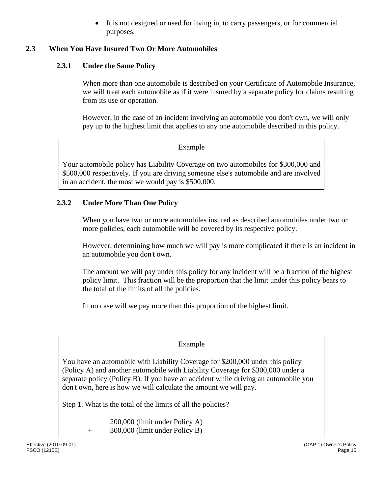It is not designed or used for living in, to carry passengers, or for commercial purposes.

# **2.3 When You Have Insured Two Or More Automobiles**

# **2.3.1 Under the Same Policy**

When more than one automobile is described on your Certificate of Automobile Insurance, we will treat each automobile as if it were insured by a separate policy for claims resulting from its use or operation.

However, in the case of an incident involving an automobile you don't own, we will only pay up to the highest limit that applies to any one automobile described in this policy.

Example

Your automobile policy has Liability Coverage on two automobiles for \$300,000 and \$500,000 respectively. If you are driving someone else's automobile and are involved in an accident, the most we would pay is \$500,000.

# **2.3.2 Under More Than One Policy**

When you have two or more automobiles insured as described automobiles under two or more policies, each automobile will be covered by its respective policy.

However, determining how much we will pay is more complicated if there is an incident in an automobile you don't own.

The amount we will pay under this policy for any incident will be a fraction of the highest policy limit. This fraction will be the proportion that the limit under this policy bears to the total of the limits of all the policies.

In no case will we pay more than this proportion of the highest limit.

# Example

You have an automobile with Liability Coverage for \$200,000 under this policy (Policy A) and another automobile with Liability Coverage for \$300,000 under a separate policy (Policy B). If you have an accident while driving an automobile you don't own, here is how we will calculate the amount we will pay.

Step 1. What is the total of the limits of all the policies?

200,000 (limit under Policy A) + 300,000 (limit under Policy B)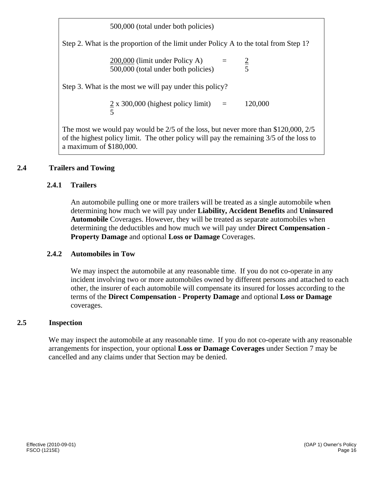500,000 (total under both policies)

Step 2. What is the proportion of the limit under Policy A to the total from Step 1?

200,000 (limit under Policy A) 500,000 (total under both policies)  $=$   $\frac{2}{2}$ 5

Step 3. What is the most we will pay under this policy?

 2 x 300,000 (highest policy limit) 5  $= 120,000$ 

The most we would pay would be 2/5 of the loss, but never more than \$120,000, 2/5 of the highest policy limit. The other policy will pay the remaining 3/5 of the loss to a maximum of \$180,000.

# **2.4 Trailers and Towing**

# **2.4.1 Trailers**

An automobile pulling one or more trailers will be treated as a single automobile when determining how much we will pay under **Liability, Accident Benefits** and **Uninsured Automobile** Coverages. However, they will be treated as separate automobiles when determining the deductibles and how much we will pay under **Direct Compensation - Property Damage** and optional **Loss or Damage** Coverages.

# **2.4.2 Automobiles in Tow**

We may inspect the automobile at any reasonable time. If you do not co-operate in any incident involving two or more automobiles owned by different persons and attached to each other, the insurer of each automobile will compensate its insured for losses according to the terms of the **Direct Compensation - Property Damage** and optional **Loss or Damage**  coverages.

# **2.5 Inspection**

We may inspect the automobile at any reasonable time. If you do not co-operate with any reasonable arrangements for inspection, your optional **Loss or Damage Coverages** under Section 7 may be cancelled and any claims under that Section may be denied.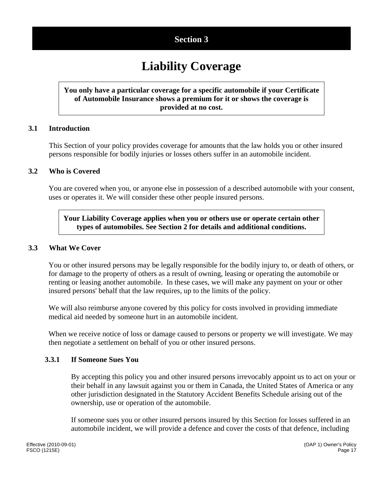# **Section 3**

# **Liability Coverage**

## **You only have a particular coverage for a specific automobile if your Certificate of Automobile Insurance shows a premium for it or shows the coverage is provided at no cost.**

#### **3.1 Introduction**

This Section of your policy provides coverage for amounts that the law holds you or other insured persons responsible for bodily injuries or losses others suffer in an automobile incident.

#### **3.2 Who is Covered**

You are covered when you, or anyone else in possession of a described automobile with your consent, uses or operates it. We will consider these other people insured persons.

**Your Liability Coverage applies when you or others use or operate certain other types of automobiles. See Section 2 for details and additional conditions.** 

#### **3.3 What We Cover**

You or other insured persons may be legally responsible for the bodily injury to, or death of others, or for damage to the property of others as a result of owning, leasing or operating the automobile or renting or leasing another automobile. In these cases, we will make any payment on your or other insured persons' behalf that the law requires, up to the limits of the policy.

We will also reimburse anyone covered by this policy for costs involved in providing immediate medical aid needed by someone hurt in an automobile incident.

When we receive notice of loss or damage caused to persons or property we will investigate. We may then negotiate a settlement on behalf of you or other insured persons.

#### **3.3.1 If Someone Sues You**

By accepting this policy you and other insured persons irrevocably appoint us to act on your or their behalf in any lawsuit against you or them in Canada, the United States of America or any other jurisdiction designated in the Statutory Accident Benefits Schedule arising out of the ownership, use or operation of the automobile.

If someone sues you or other insured persons insured by this Section for losses suffered in an automobile incident, we will provide a defence and cover the costs of that defence, including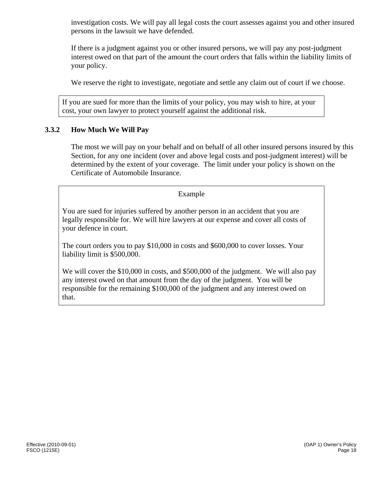investigation costs. We will pay all legal costs the court assesses against you and other insured persons in the lawsuit we have defended.

If there is a judgment against you or other insured persons, we will pay any post-judgment interest owed on that part of the amount the court orders that falls within the liability limits of your policy.

We reserve the right to investigate, negotiate and settle any claim out of court if we choose.

If you are sued for more than the limits of your policy, you may wish to hire, at your cost, your own lawyer to protect yourself against the additional risk.

# **3.3.2 How Much We Will Pay**

The most we will pay on your behalf and on behalf of all other insured persons insured by this Section, for any one incident (over and above legal costs and post-judgment interest) will be determined by the extent of your coverage. The limit under your policy is shown on the Certificate of Automobile Insurance.

#### Example

You are sued for injuries suffered by another person in an accident that you are legally responsible for. We will hire lawyers at our expense and cover all costs of your defence in court.

The court orders you to pay \$10,000 in costs and \$600,000 to cover losses. Your liability limit is \$500,000.

We will cover the \$10,000 in costs, and \$500,000 of the judgment. We will also pay any interest owed on that amount from the day of the judgment. You will be responsible for the remaining \$100,000 of the judgment and any interest owed on that.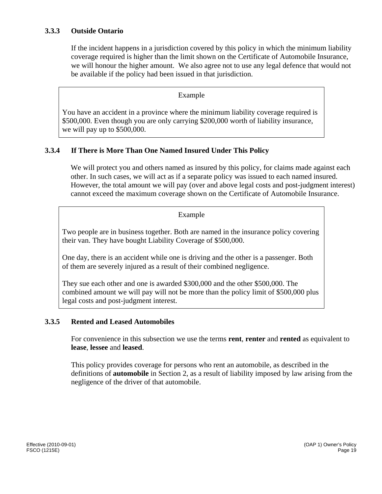# **3.3.3 Outside Ontario**

If the incident happens in a jurisdiction covered by this policy in which the minimum liability coverage required is higher than the limit shown on the Certificate of Automobile Insurance, we will honour the higher amount. We also agree not to use any legal defence that would not be available if the policy had been issued in that jurisdiction.

### Example

You have an accident in a province where the minimum liability coverage required is \$500,000. Even though you are only carrying \$200,000 worth of liability insurance, we will pay up to \$500,000.

# **3.3.4 If There is More Than One Named Insured Under This Policy**

We will protect you and others named as insured by this policy, for claims made against each other. In such cases, we will act as if a separate policy was issued to each named insured. However, the total amount we will pay (over and above legal costs and post-judgment interest) cannot exceed the maximum coverage shown on the Certificate of Automobile Insurance.

### Example

Two people are in business together. Both are named in the insurance policy covering their van. They have bought Liability Coverage of \$500,000.

One day, there is an accident while one is driving and the other is a passenger. Both of them are severely injured as a result of their combined negligence.

They sue each other and one is awarded \$300,000 and the other \$500,000. The combined amount we will pay will not be more than the policy limit of \$500,000 plus legal costs and post-judgment interest.

#### **3.3.5 Rented and Leased Automobiles**

For convenience in this subsection we use the terms **rent**, **renter** and **rented** as equivalent to **lease**, **lessee** and **leased**.

This policy provides coverage for persons who rent an automobile, as described in the definitions of **automobile** in Section 2, as a result of liability imposed by law arising from the negligence of the driver of that automobile.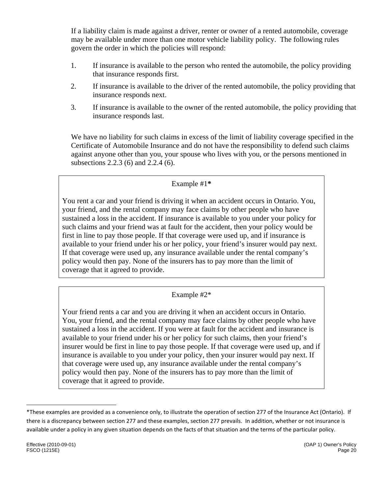If a liability claim is made against a driver, renter or owner of a rented automobile, coverage may be available under more than one motor vehicle liability policy. The following rules govern the order in which the policies will respond:

- 1. If insurance is available to the person who rented the automobile, the policy providing that insurance responds first.
- 2. If insurance is available to the driver of the rented automobile, the policy providing that insurance responds next.
- 3. If insurance is available to the owner of the rented automobile, the policy providing that insurance responds last.

We have no liability for such claims in excess of the limit of liability coverage specified in the Certificate of Automobile Insurance and do not have the responsibility to defend such claims against anyone other than you, your spouse who lives with you, or the persons mentioned in subsections 2.2.3 (6) and 2.2.4 (6).

Example #1**\*** 

You rent a car and your friend is driving it when an accident occurs in Ontario. You, your friend, and the rental company may face claims by other people who have sustained a loss in the accident. If insurance is available to you under your policy for such claims and your friend was at fault for the accident, then your policy would be first in line to pay those people. If that coverage were used up, and if insurance is available to your friend under his or her policy, your friend's insurer would pay next. If that coverage were used up, any insurance available under the rental company's policy would then pay. None of the insurers has to pay more than the limit of coverage that it agreed to provide.

# Example #2\*

Your friend rents a car and you are driving it when an accident occurs in Ontario. You, your friend, and the rental company may face claims by other people who have sustained a loss in the accident. If you were at fault for the accident and insurance is available to your friend under his or her policy for such claims, then your friend's insurer would be first in line to pay those people. If that coverage were used up, and if insurance is available to you under your policy, then your insurer would pay next. If that coverage were used up, any insurance available under the rental company's policy would then pay. None of the insurers has to pay more than the limit of coverage that it agreed to provide.

<sup>\*</sup>These examples are provided as a convenience only, to illustrate the operation of section 277 of the Insurance Act (Ontario). If there is a discrepancy between section 277 and these examples, section 277 prevails. In addition, whether or not insurance is available under a policy in any given situation depends on the facts of that situation and the terms of the particular policy.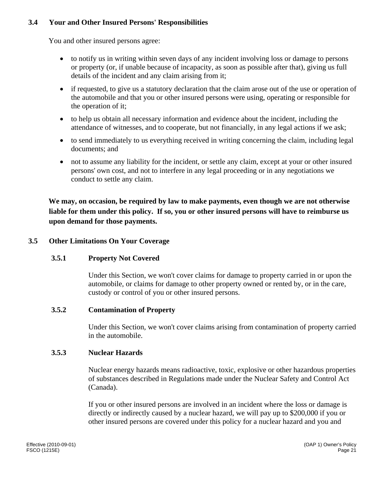# **3.4 Your and Other Insured Persons' Responsibilities**

You and other insured persons agree:

- to notify us in writing within seven days of any incident involving loss or damage to persons or property (or, if unable because of incapacity, as soon as possible after that), giving us full details of the incident and any claim arising from it;
- if requested, to give us a statutory declaration that the claim arose out of the use or operation of the automobile and that you or other insured persons were using, operating or responsible for the operation of it;
- to help us obtain all necessary information and evidence about the incident, including the attendance of witnesses, and to cooperate, but not financially, in any legal actions if we ask;
- to send immediately to us everything received in writing concerning the claim, including legal documents; and
- not to assume any liability for the incident, or settle any claim, except at your or other insured persons' own cost, and not to interfere in any legal proceeding or in any negotiations we conduct to settle any claim.

**We may, on occasion, be required by law to make payments, even though we are not otherwise liable for them under this policy. If so, you or other insured persons will have to reimburse us upon demand for those payments.** 

# **3.5 Other Limitations On Your Coverage**

# **3.5.1 Property Not Covered**

Under this Section, we won't cover claims for damage to property carried in or upon the automobile, or claims for damage to other property owned or rented by, or in the care, custody or control of you or other insured persons.

# **3.5.2 Contamination of Property**

Under this Section, we won't cover claims arising from contamination of property carried in the automobile.

# **3.5.3 Nuclear Hazards**

Nuclear energy hazards means radioactive, toxic, explosive or other hazardous properties of substances described in Regulations made under the Nuclear Safety and Control Act (Canada).

If you or other insured persons are involved in an incident where the loss or damage is directly or indirectly caused by a nuclear hazard, we will pay up to \$200,000 if you or other insured persons are covered under this policy for a nuclear hazard and you and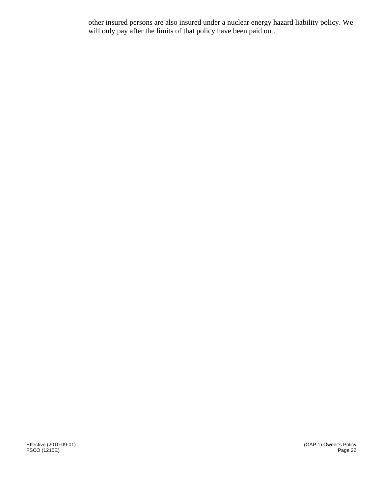other insured persons are also insured under a nuclear energy hazard liability policy. We will only pay after the limits of that policy have been paid out.

Effective (2010-09-01) (OAP 1) Owner's Policy FSCO (1215E) Page 22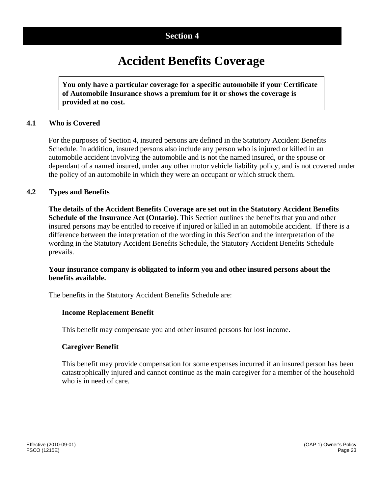# **Accident Benefits Coverage**

**You only have a particular coverage for a specific automobile if your Certificate of Automobile Insurance shows a premium for it or shows the coverage is provided at no cost.** 

#### **4.1 Who is Covered**

For the purposes of Section 4, insured persons are defined in the Statutory Accident Benefits Schedule. In addition, insured persons also include any person who is injured or killed in an automobile accident involving the automobile and is not the named insured, or the spouse or dependant of a named insured, under any other motor vehicle liability policy, and is not covered under the policy of an automobile in which they were an occupant or which struck them.

#### **4.2 Types and Benefits**

**The details of the Accident Benefits Coverage are set out in the Statutory Accident Benefits Schedule of the Insurance Act (Ontario)**. This Section outlines the benefits that you and other insured persons may be entitled to receive if injured or killed in an automobile accident. If there is a difference between the interpretation of the wording in this Section and the interpretation of the wording in the Statutory Accident Benefits Schedule, the Statutory Accident Benefits Schedule prevails.

#### **Your insurance company is obligated to inform you and other insured persons about the benefits available.**

The benefits in the Statutory Accident Benefits Schedule are:

#### **Income Replacement Benefit**

This benefit may compensate you and other insured persons for lost income.

#### **Caregiver Benefit**

This benefit may provide compensation for some expenses incurred if an insured person has been catastrophically injured and cannot continue as the main caregiver for a member of the household who is in need of care.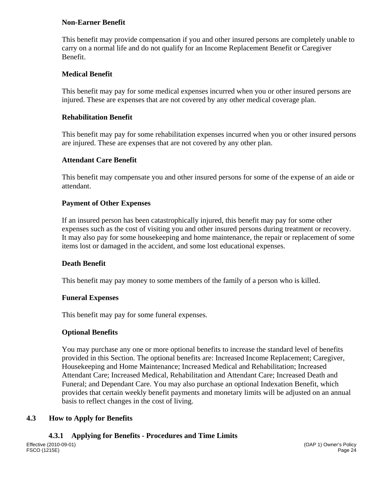#### **Non-Earner Benefit**

This benefit may provide compensation if you and other insured persons are completely unable to carry on a normal life and do not qualify for an Income Replacement Benefit or Caregiver Benefit.

# **Medical Benefit**

This benefit may pay for some medical expenses incurred when you or other insured persons are injured. These are expenses that are not covered by any other medical coverage plan.

### **Rehabilitation Benefit**

This benefit may pay for some rehabilitation expenses incurred when you or other insured persons are injured. These are expenses that are not covered by any other plan.

#### **Attendant Care Benefit**

This benefit may compensate you and other insured persons for some of the expense of an aide or attendant.

### **Payment of Other Expenses**

If an insured person has been catastrophically injured, this benefit may pay for some other expenses such as the cost of visiting you and other insured persons during treatment or recovery. It may also pay for some housekeeping and home maintenance, the repair or replacement of some items lost or damaged in the accident, and some lost educational expenses.

#### **Death Benefit**

This benefit may pay money to some members of the family of a person who is killed.

#### **Funeral Expenses**

This benefit may pay for some funeral expenses.

#### **Optional Benefits**

You may purchase any one or more optional benefits to increase the standard level of benefits provided in this Section. The optional benefits are: Increased Income Replacement; Caregiver, Housekeeping and Home Maintenance; Increased Medical and Rehabilitation; Increased Attendant Care; Increased Medical, Rehabilitation and Attendant Care; Increased Death and Funeral; and Dependant Care. You may also purchase an optional Indexation Benefit, which provides that certain weekly benefit payments and monetary limits will be adjusted on an annual basis to reflect changes in the cost of living.

# **4.3 How to Apply for Benefits**

#### **4.3.1 Applying for Benefits - Procedures and Time Limits**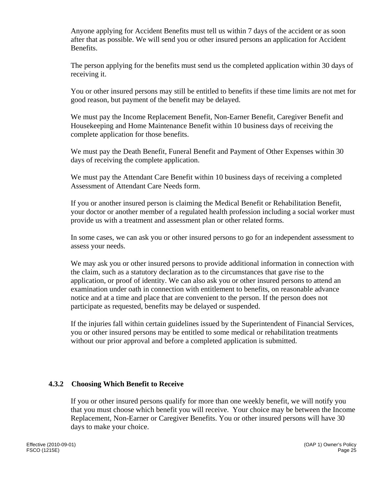Anyone applying for Accident Benefits must tell us within 7 days of the accident or as soon after that as possible. We will send you or other insured persons an application for Accident Benefits.

The person applying for the benefits must send us the completed application within 30 days of receiving it.

You or other insured persons may still be entitled to benefits if these time limits are not met for good reason, but payment of the benefit may be delayed.

We must pay the Income Replacement Benefit, Non-Earner Benefit, Caregiver Benefit and Housekeeping and Home Maintenance Benefit within 10 business days of receiving the complete application for those benefits.

We must pay the Death Benefit, Funeral Benefit and Payment of Other Expenses within 30 days of receiving the complete application.

We must pay the Attendant Care Benefit within 10 business days of receiving a completed Assessment of Attendant Care Needs form.

If you or another insured person is claiming the Medical Benefit or Rehabilitation Benefit, your doctor or another member of a regulated health profession including a social worker must provide us with a treatment and assessment plan or other related forms.

In some cases, we can ask you or other insured persons to go for an independent assessment to assess your needs.

We may ask you or other insured persons to provide additional information in connection with the claim, such as a statutory declaration as to the circumstances that gave rise to the application, or proof of identity. We can also ask you or other insured persons to attend an examination under oath in connection with entitlement to benefits, on reasonable advance notice and at a time and place that are convenient to the person. If the person does not participate as requested, benefits may be delayed or suspended.

If the injuries fall within certain guidelines issued by the Superintendent of Financial Services, you or other insured persons may be entitled to some medical or rehabilitation treatments without our prior approval and before a completed application is submitted.

#### **4.3.2 Choosing Which Benefit to Receive**

If you or other insured persons qualify for more than one weekly benefit, we will notify you that you must choose which benefit you will receive. Your choice may be between the Income Replacement, Non-Earner or Caregiver Benefits. You or other insured persons will have 30 days to make your choice.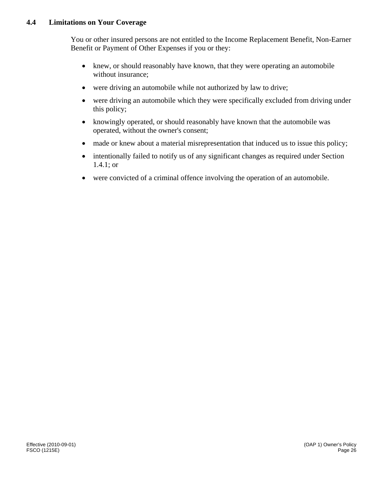# **4.4 Limitations on Your Coverage**

You or other insured persons are not entitled to the Income Replacement Benefit, Non-Earner Benefit or Payment of Other Expenses if you or they:

- knew, or should reasonably have known, that they were operating an automobile without insurance;
- were driving an automobile while not authorized by law to drive;
- were driving an automobile which they were specifically excluded from driving under this policy;
- knowingly operated, or should reasonably have known that the automobile was operated, without the owner's consent;
- made or knew about a material misrepresentation that induced us to issue this policy;
- intentionally failed to notify us of any significant changes as required under Section 1.4.1; or
- were convicted of a criminal offence involving the operation of an automobile.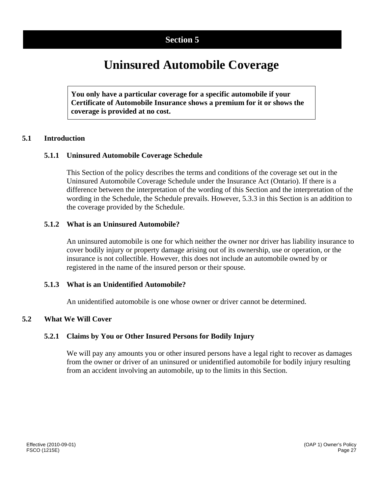# **Uninsured Automobile Coverage**

**You only have a particular coverage for a specific automobile if your Certificate of Automobile Insurance shows a premium for it or shows the coverage is provided at no cost.** 

#### **5.1 Introduction**

#### **5.1.1 Uninsured Automobile Coverage Schedule**

This Section of the policy describes the terms and conditions of the coverage set out in the Uninsured Automobile Coverage Schedule under the Insurance Act (Ontario). If there is a difference between the interpretation of the wording of this Section and the interpretation of the wording in the Schedule, the Schedule prevails. However, 5.3.3 in this Section is an addition to the coverage provided by the Schedule.

#### **5.1.2 What is an Uninsured Automobile?**

An uninsured automobile is one for which neither the owner nor driver has liability insurance to cover bodily injury or property damage arising out of its ownership, use or operation, or the insurance is not collectible. However, this does not include an automobile owned by or registered in the name of the insured person or their spouse.

#### **5.1.3 What is an Unidentified Automobile?**

An unidentified automobile is one whose owner or driver cannot be determined.

#### **5.2 What We Will Cover**

#### **5.2.1 Claims by You or Other Insured Persons for Bodily Injury**

We will pay any amounts you or other insured persons have a legal right to recover as damages from the owner or driver of an uninsured or unidentified automobile for bodily injury resulting from an accident involving an automobile, up to the limits in this Section.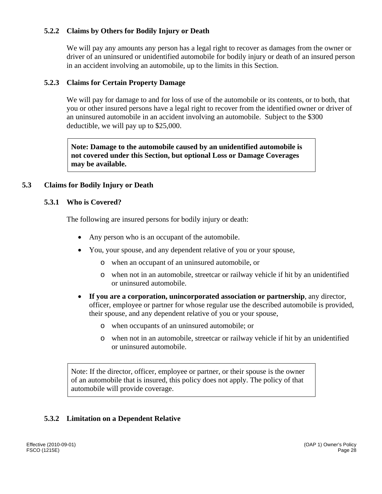## **5.2.2 Claims by Others for Bodily Injury or Death**

We will pay any amounts any person has a legal right to recover as damages from the owner or driver of an uninsured or unidentified automobile for bodily injury or death of an insured person in an accident involving an automobile, up to the limits in this Section.

#### **5.2.3 Claims for Certain Property Damage**

We will pay for damage to and for loss of use of the automobile or its contents, or to both, that you or other insured persons have a legal right to recover from the identified owner or driver of an uninsured automobile in an accident involving an automobile. Subject to the \$300 deductible, we will pay up to \$25,000.

**Note: Damage to the automobile caused by an unidentified automobile is not covered under this Section, but optional Loss or Damage Coverages may be available.** 

#### **5.3 Claims for Bodily Injury or Death**

#### **5.3.1 Who is Covered?**

The following are insured persons for bodily injury or death:

- Any person who is an occupant of the automobile.
- You, your spouse, and any dependent relative of you or your spouse,
	- o when an occupant of an uninsured automobile, or
	- o when not in an automobile, streetcar or railway vehicle if hit by an unidentified or uninsured automobile.
- • **If you are a corporation, unincorporated association or partnership**, any director, officer, employee or partner for whose regular use the described automobile is provided, their spouse, and any dependent relative of you or your spouse,
	- o when occupants of an uninsured automobile; or
	- o when not in an automobile, streetcar or railway vehicle if hit by an unidentified or uninsured automobile.

Note: If the director, officer, employee or partner, or their spouse is the owner of an automobile that is insured, this policy does not apply. The policy of that automobile will provide coverage.

#### **5.3.2 Limitation on a Dependent Relative**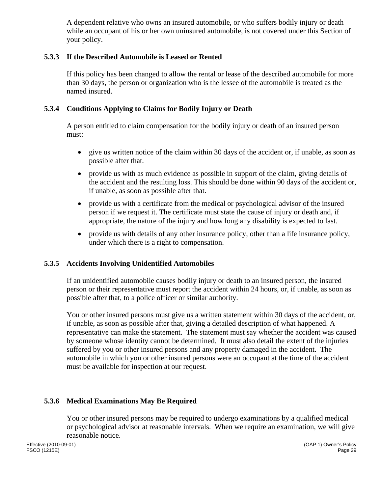A dependent relative who owns an insured automobile, or who suffers bodily injury or death while an occupant of his or her own uninsured automobile, is not covered under this Section of your policy.

# **5.3.3 If the Described Automobile is Leased or Rented**

If this policy has been changed to allow the rental or lease of the described automobile for more than 30 days, the person or organization who is the lessee of the automobile is treated as the named insured.

### **5.3.4 Conditions Applying to Claims for Bodily Injury or Death**

A person entitled to claim compensation for the bodily injury or death of an insured person must:

- give us written notice of the claim within 30 days of the accident or, if unable, as soon as possible after that.
- provide us with as much evidence as possible in support of the claim, giving details of the accident and the resulting loss. This should be done within 90 days of the accident or, if unable, as soon as possible after that.
- provide us with a certificate from the medical or psychological advisor of the insured person if we request it. The certificate must state the cause of injury or death and, if appropriate, the nature of the injury and how long any disability is expected to last.
- provide us with details of any other insurance policy, other than a life insurance policy, under which there is a right to compensation.

#### **5.3.5 Accidents Involving Unidentified Automobiles**

If an unidentified automobile causes bodily injury or death to an insured person, the insured person or their representative must report the accident within 24 hours, or, if unable, as soon as possible after that, to a police officer or similar authority.

You or other insured persons must give us a written statement within 30 days of the accident, or, if unable, as soon as possible after that, giving a detailed description of what happened. A representative can make the statement. The statement must say whether the accident was caused by someone whose identity cannot be determined. It must also detail the extent of the injuries suffered by you or other insured persons and any property damaged in the accident. The automobile in which you or other insured persons were an occupant at the time of the accident must be available for inspection at our request.

# **5.3.6 Medical Examinations May Be Required**

You or other insured persons may be required to undergo examinations by a qualified medical or psychological advisor at reasonable intervals. When we require an examination, we will give reasonable notice.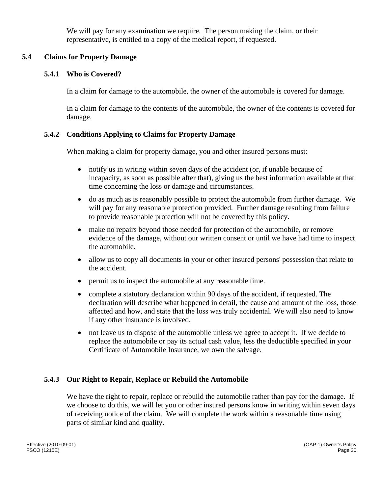We will pay for any examination we require. The person making the claim, or their representative, is entitled to a copy of the medical report, if requested.

#### **5.4 Claims for Property Damage**

### **5.4.1 Who is Covered?**

In a claim for damage to the automobile, the owner of the automobile is covered for damage.

In a claim for damage to the contents of the automobile, the owner of the contents is covered for damage.

# **5.4.2 Conditions Applying to Claims for Property Damage**

When making a claim for property damage, you and other insured persons must:

- notify us in writing within seven days of the accident (or, if unable because of incapacity, as soon as possible after that), giving us the best information available at that time concerning the loss or damage and circumstances.
- do as much as is reasonably possible to protect the automobile from further damage. We will pay for any reasonable protection provided. Further damage resulting from failure to provide reasonable protection will not be covered by this policy.
- make no repairs beyond those needed for protection of the automobile, or remove evidence of the damage, without our written consent or until we have had time to inspect the automobile.
- allow us to copy all documents in your or other insured persons' possession that relate to the accident.
- permit us to inspect the automobile at any reasonable time.
- complete a statutory declaration within 90 days of the accident, if requested. The declaration will describe what happened in detail, the cause and amount of the loss, those affected and how, and state that the loss was truly accidental. We will also need to know if any other insurance is involved.
- not leave us to dispose of the automobile unless we agree to accept it. If we decide to replace the automobile or pay its actual cash value, less the deductible specified in your Certificate of Automobile Insurance, we own the salvage.

# **5.4.3 Our Right to Repair, Replace or Rebuild the Automobile**

We have the right to repair, replace or rebuild the automobile rather than pay for the damage. If we choose to do this, we will let you or other insured persons know in writing within seven days of receiving notice of the claim. We will complete the work within a reasonable time using parts of similar kind and quality.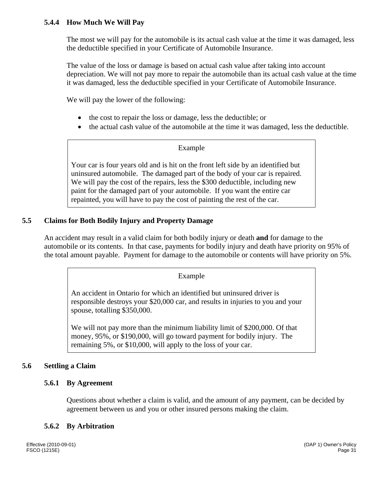#### **5.4.4 How Much We Will Pay**

The most we will pay for the automobile is its actual cash value at the time it was damaged, less the deductible specified in your Certificate of Automobile Insurance.

The value of the loss or damage is based on actual cash value after taking into account depreciation. We will not pay more to repair the automobile than its actual cash value at the time it was damaged, less the deductible specified in your Certificate of Automobile Insurance.

We will pay the lower of the following:

- the cost to repair the loss or damage, less the deductible; or
- the actual cash value of the automobile at the time it was damaged, less the deductible.

#### Example

Your car is four years old and is hit on the front left side by an identified but uninsured automobile. The damaged part of the body of your car is repaired. We will pay the cost of the repairs, less the \$300 deductible, including new paint for the damaged part of your automobile. If you want the entire car repainted, you will have to pay the cost of painting the rest of the car.

### **5.5 Claims for Both Bodily Injury and Property Damage**

An accident may result in a valid claim for both bodily injury or death **and** for damage to the automobile or its contents. In that case, payments for bodily injury and death have priority on 95% of the total amount payable. Payment for damage to the automobile or contents will have priority on 5%.

#### Example

An accident in Ontario for which an identified but uninsured driver is responsible destroys your \$20,000 car, and results in injuries to you and your spouse, totalling \$350,000.

We will not pay more than the minimum liability limit of \$200,000. Of that money, 95%, or \$190,000, will go toward payment for bodily injury. The remaining 5%, or \$10,000, will apply to the loss of your car.

# **5.6 Settling a Claim**

#### **5.6.1 By Agreement**

Questions about whether a claim is valid, and the amount of any payment, can be decided by agreement between us and you or other insured persons making the claim.

#### **5.6.2 By Arbitration**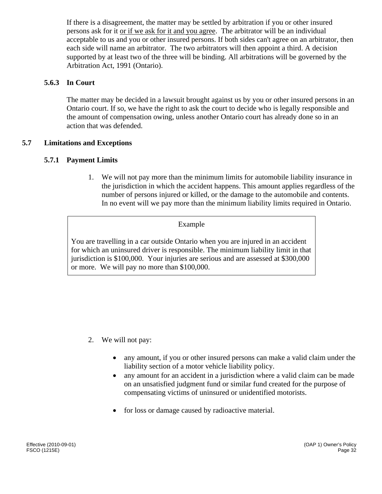If there is a disagreement, the matter may be settled by arbitration if you or other insured persons ask for it or if we ask for it and you agree. The arbitrator will be an individual acceptable to us and you or other insured persons. If both sides can't agree on an arbitrator, then each side will name an arbitrator. The two arbitrators will then appoint a third. A decision supported by at least two of the three will be binding. All arbitrations will be governed by the Arbitration Act, 1991 (Ontario).

# **5.6.3 In Court**

The matter may be decided in a lawsuit brought against us by you or other insured persons in an Ontario court. If so, we have the right to ask the court to decide who is legally responsible and the amount of compensation owing, unless another Ontario court has already done so in an action that was defended.

# **5.7 Limitations and Exceptions**

# **5.7.1 Payment Limits**

1. We will not pay more than the minimum limits for automobile liability insurance in the jurisdiction in which the accident happens. This amount applies regardless of the number of persons injured or killed, or the damage to the automobile and contents. In no event will we pay more than the minimum liability limits required in Ontario.

# Example

You are travelling in a car outside Ontario when you are injured in an accident for which an uninsured driver is responsible. The minimum liability limit in that jurisdiction is \$100,000. Your injuries are serious and are assessed at \$300,000 or more. We will pay no more than \$100,000.

- 2. We will not pay:
	- any amount, if you or other insured persons can make a valid claim under the liability section of a motor vehicle liability policy.
	- any amount for an accident in a jurisdiction where a valid claim can be made on an unsatisfied judgment fund or similar fund created for the purpose of compensating victims of uninsured or unidentified motorists.
	- for loss or damage caused by radioactive material.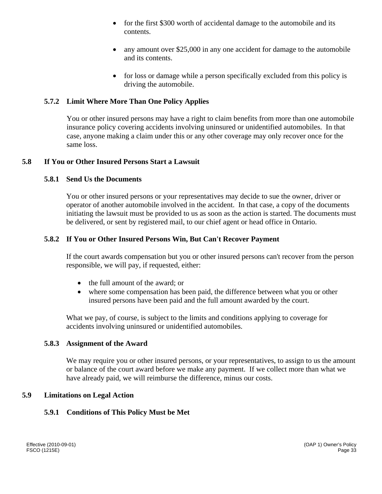- for the first \$300 worth of accidental damage to the automobile and its contents.
- any amount over \$25,000 in any one accident for damage to the automobile and its contents.
- for loss or damage while a person specifically excluded from this policy is driving the automobile.

# **5.7.2 Limit Where More Than One Policy Applies**

You or other insured persons may have a right to claim benefits from more than one automobile insurance policy covering accidents involving uninsured or unidentified automobiles. In that case, anyone making a claim under this or any other coverage may only recover once for the same loss.

# **5.8 If You or Other Insured Persons Start a Lawsuit**

### **5.8.1 Send Us the Documents**

You or other insured persons or your representatives may decide to sue the owner, driver or operator of another automobile involved in the accident. In that case, a copy of the documents initiating the lawsuit must be provided to us as soon as the action is started. The documents must be delivered, or sent by registered mail, to our chief agent or head office in Ontario.

### **5.8.2 If You or Other Insured Persons Win, But Can't Recover Payment**

If the court awards compensation but you or other insured persons can't recover from the person responsible, we will pay, if requested, either:

- the full amount of the award; or
- where some compensation has been paid, the difference between what you or other insured persons have been paid and the full amount awarded by the court.

What we pay, of course, is subject to the limits and conditions applying to coverage for accidents involving uninsured or unidentified automobiles.

### **5.8.3 Assignment of the Award**

We may require you or other insured persons, or your representatives, to assign to us the amount or balance of the court award before we make any payment. If we collect more than what we have already paid, we will reimburse the difference, minus our costs.

#### **5.9 Limitations on Legal Action**

# **5.9.1 Conditions of This Policy Must be Met**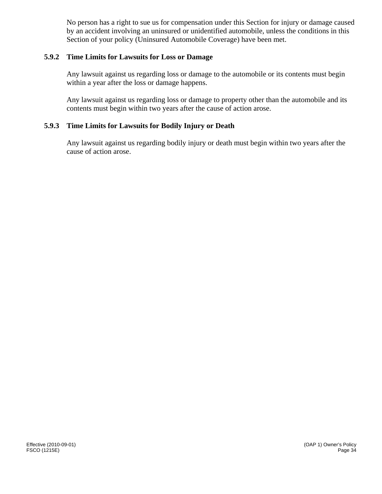No person has a right to sue us for compensation under this Section for injury or damage caused by an accident involving an uninsured or unidentified automobile, unless the conditions in this Section of your policy (Uninsured Automobile Coverage) have been met.

#### **5.9.2 Time Limits for Lawsuits for Loss or Damage**

Any lawsuit against us regarding loss or damage to the automobile or its contents must begin within a year after the loss or damage happens.

Any lawsuit against us regarding loss or damage to property other than the automobile and its contents must begin within two years after the cause of action arose.

# **5.9.3 Time Limits for Lawsuits for Bodily Injury or Death**

Any lawsuit against us regarding bodily injury or death must begin within two years after the cause of action arose.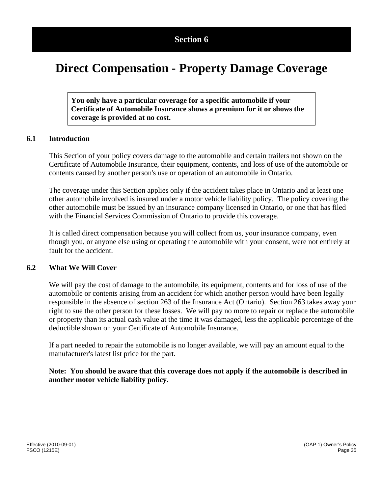# **Direct Compensation - Property Damage Coverage**

**You only have a particular coverage for a specific automobile if your Certificate of Automobile Insurance shows a premium for it or shows the coverage is provided at no cost.** 

#### **6.1 Introduction**

This Section of your policy covers damage to the automobile and certain trailers not shown on the Certificate of Automobile Insurance, their equipment, contents, and loss of use of the automobile or contents caused by another person's use or operation of an automobile in Ontario.

The coverage under this Section applies only if the accident takes place in Ontario and at least one other automobile involved is insured under a motor vehicle liability policy. The policy covering the other automobile must be issued by an insurance company licensed in Ontario, or one that has filed with the Financial Services Commission of Ontario to provide this coverage.

It is called direct compensation because you will collect from us, your insurance company, even though you, or anyone else using or operating the automobile with your consent, were not entirely at fault for the accident.

#### **6.2 What We Will Cover**

We will pay the cost of damage to the automobile, its equipment, contents and for loss of use of the automobile or contents arising from an accident for which another person would have been legally responsible in the absence of section 263 of the Insurance Act (Ontario). Section 263 takes away your right to sue the other person for these losses. We will pay no more to repair or replace the automobile or property than its actual cash value at the time it was damaged, less the applicable percentage of the deductible shown on your Certificate of Automobile Insurance.

If a part needed to repair the automobile is no longer available, we will pay an amount equal to the manufacturer's latest list price for the part.

**Note: You should be aware that this coverage does not apply if the automobile is described in another motor vehicle liability policy.**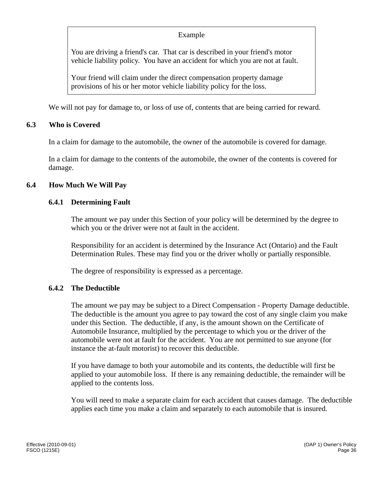## Example

You are driving a friend's car. That car is described in your friend's motor vehicle liability policy. You have an accident for which you are not at fault.

Your friend will claim under the direct compensation property damage provisions of his or her motor vehicle liability policy for the loss.

We will not pay for damage to, or loss of use of, contents that are being carried for reward.

#### **6.3 Who is Covered**

In a claim for damage to the automobile, the owner of the automobile is covered for damage.

In a claim for damage to the contents of the automobile, the owner of the contents is covered for damage.

### **6.4 How Much We Will Pay**

### **6.4.1 Determining Fault**

The amount we pay under this Section of your policy will be determined by the degree to which you or the driver were not at fault in the accident.

Responsibility for an accident is determined by the Insurance Act (Ontario) and the Fault Determination Rules. These may find you or the driver wholly or partially responsible.

The degree of responsibility is expressed as a percentage.

# **6.4.2 The Deductible**

The amount we pay may be subject to a Direct Compensation - Property Damage deductible. The deductible is the amount you agree to pay toward the cost of any single claim you make under this Section. The deductible, if any, is the amount shown on the Certificate of Automobile Insurance, multiplied by the percentage to which you or the driver of the automobile were not at fault for the accident. You are not permitted to sue anyone (for instance the at-fault motorist) to recover this deductible.

If you have damage to both your automobile and its contents, the deductible will first be applied to your automobile loss. If there is any remaining deductible, the remainder will be applied to the contents loss.

You will need to make a separate claim for each accident that causes damage. The deductible applies each time you make a claim and separately to each automobile that is insured.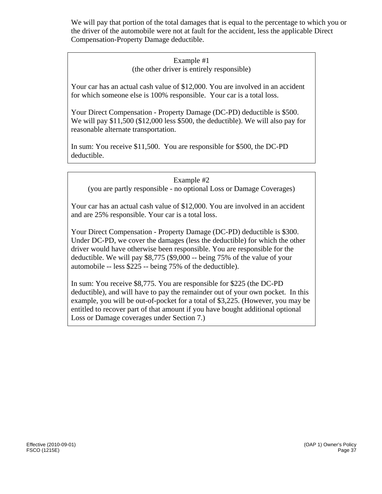We will pay that portion of the total damages that is equal to the percentage to which you or the driver of the automobile were not at fault for the accident, less the applicable Direct Compensation-Property Damage deductible.

# Example #1 (the other driver is entirely responsible)

Your car has an actual cash value of \$12,000. You are involved in an accident for which someone else is 100% responsible. Your car is a total loss.

Your Direct Compensation - Property Damage (DC-PD) deductible is \$500. We will pay \$11,500 (\$12,000 less \$500, the deductible). We will also pay for reasonable alternate transportation.

In sum: You receive \$11,500. You are responsible for \$500, the DC-PD deductible.

Example #2 (you are partly responsible - no optional Loss or Damage Coverages)

Your car has an actual cash value of \$12,000. You are involved in an accident and are 25% responsible. Your car is a total loss.

Your Direct Compensation - Property Damage (DC-PD) deductible is \$300. Under DC-PD, we cover the damages (less the deductible) for which the other driver would have otherwise been responsible. You are responsible for the deductible. We will pay \$8,775 (\$9,000 -- being 75% of the value of your automobile -- less \$225 -- being 75% of the deductible).

In sum: You receive \$8,775. You are responsible for \$225 (the DC-PD deductible), and will have to pay the remainder out of your own pocket. In this example, you will be out-of-pocket for a total of \$3,225. (However, you may be entitled to recover part of that amount if you have bought additional optional Loss or Damage coverages under Section 7.)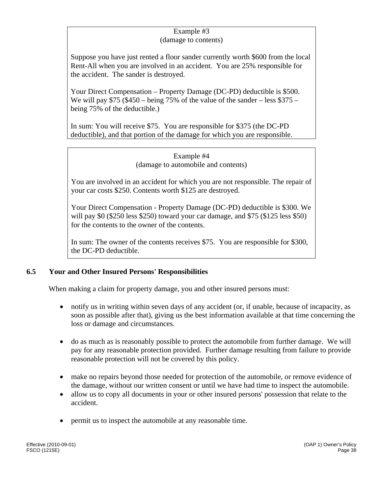#### Example #3 (damage to contents)

Suppose you have just rented a floor sander currently worth \$600 from the local Rent-All when you are involved in an accident. You are 25% responsible for the accident. The sander is destroyed.

Your Direct Compensation – Property Damage (DC-PD) deductible is \$500. We will pay  $$75$  (\$450 – being 75% of the value of the sander – less  $$375$  – being 75% of the deductible.)

In sum: You will receive \$75. You are responsible for \$375 (the DC-PD deductible), and that portion of the damage for which you are responsible.

# Example #4 (damage to automobile and contents)

You are involved in an accident for which you are not responsible. The repair of your car costs \$250. Contents worth \$125 are destroyed.

Your Direct Compensation - Property Damage (DC-PD) deductible is \$300. We will pay \$0 (\$250 less \$250) toward your car damage, and \$75 (\$125 less \$50) for the contents to the owner of the contents.

In sum: The owner of the contents receives \$75. You are responsible for \$300, the DC-PD deductible.

# **6.5 Your and Other Insured Persons' Responsibilities**

When making a claim for property damage, you and other insured persons must:

- notify us in writing within seven days of any accident (or, if unable, because of incapacity, as soon as possible after that), giving us the best information available at that time concerning the loss or damage and circumstances.
- do as much as is reasonably possible to protect the automobile from further damage. We will pay for any reasonable protection provided. Further damage resulting from failure to provide reasonable protection will not be covered by this policy.
- make no repairs beyond those needed for protection of the automobile, or remove evidence of the damage, without our written consent or until we have had time to inspect the automobile.
- allow us to copy all documents in your or other insured persons' possession that relate to the accident.
- permit us to inspect the automobile at any reasonable time.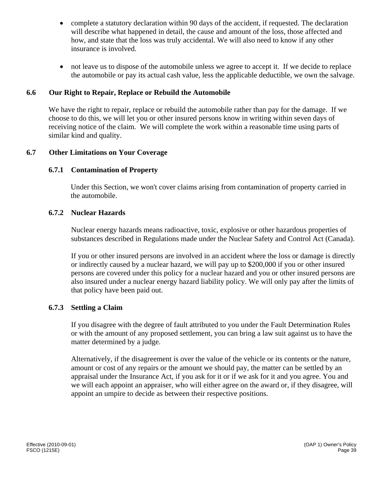- complete a statutory declaration within 90 days of the accident, if requested. The declaration will describe what happened in detail, the cause and amount of the loss, those affected and how, and state that the loss was truly accidental. We will also need to know if any other insurance is involved.
- not leave us to dispose of the automobile unless we agree to accept it. If we decide to replace the automobile or pay its actual cash value, less the applicable deductible, we own the salvage.

# **6.6 Our Right to Repair, Replace or Rebuild the Automobile**

We have the right to repair, replace or rebuild the automobile rather than pay for the damage. If we choose to do this, we will let you or other insured persons know in writing within seven days of receiving notice of the claim. We will complete the work within a reasonable time using parts of similar kind and quality.

# **6.7 Other Limitations on Your Coverage**

# **6.7.1 Contamination of Property**

Under this Section, we won't cover claims arising from contamination of property carried in the automobile.

# **6.7.2 Nuclear Hazards**

Nuclear energy hazards means radioactive, toxic, explosive or other hazardous properties of substances described in Regulations made under the Nuclear Safety and Control Act (Canada).

If you or other insured persons are involved in an accident where the loss or damage is directly or indirectly caused by a nuclear hazard, we will pay up to \$200,000 if you or other insured persons are covered under this policy for a nuclear hazard and you or other insured persons are also insured under a nuclear energy hazard liability policy. We will only pay after the limits of that policy have been paid out.

# **6.7.3 Settling a Claim**

If you disagree with the degree of fault attributed to you under the Fault Determination Rules or with the amount of any proposed settlement, you can bring a law suit against us to have the matter determined by a judge.

Alternatively, if the disagreement is over the value of the vehicle or its contents or the nature, amount or cost of any repairs or the amount we should pay, the matter can be settled by an appraisal under the Insurance Act, if you ask for it or if we ask for it and you agree. You and we will each appoint an appraiser, who will either agree on the award or, if they disagree, will appoint an umpire to decide as between their respective positions.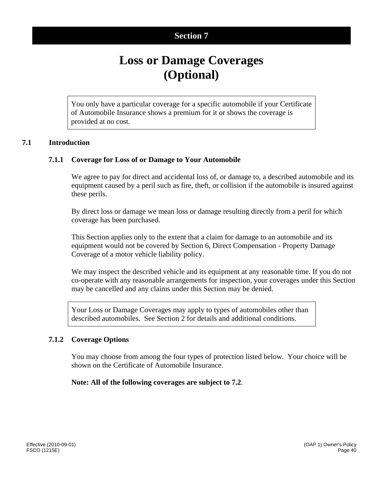# **Loss or Damage Coverages (Optional)**

You only have a particular coverage for a specific automobile if your Certificate of Automobile Insurance shows a premium for it or shows the coverage is provided at no cost.

#### **7.1 Introduction**

#### **7.1.1 Coverage for Loss of or Damage to Your Automobile**

We agree to pay for direct and accidental loss of, or damage to, a described automobile and its equipment caused by a peril such as fire, theft, or collision if the automobile is insured against these perils.

By direct loss or damage we mean loss or damage resulting directly from a peril for which coverage has been purchased.

This Section applies only to the extent that a claim for damage to an automobile and its equipment would not be covered by Section 6, Direct Compensation - Property Damage Coverage of a motor vehicle liability policy.

We may inspect the described vehicle and its equipment at any reasonable time. If you do not co-operate with any reasonable arrangements for inspection, your coverages under this Section may be cancelled and any claims under this Section may be denied.

Your Loss or Damage Coverages may apply to types of automobiles other than described automobiles. See Section 2 for details and additional conditions.

#### **7.1.2 Coverage Options**

You may choose from among the four types of protection listed below. Your choice will be shown on the Certificate of Automobile Insurance.

#### **Note: All of the following coverages are subject to 7.2**.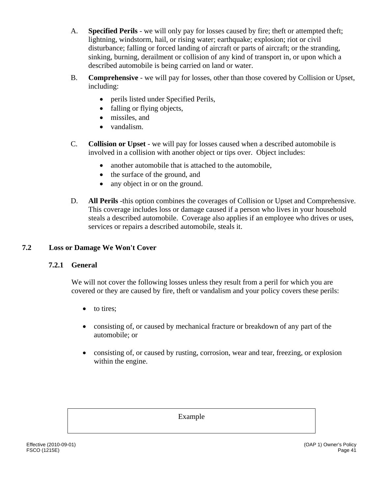- A. **Specified Perils** we will only pay for losses caused by fire; theft or attempted theft; lightning, windstorm, hail, or rising water; earthquake; explosion; riot or civil disturbance; falling or forced landing of aircraft or parts of aircraft; or the stranding, sinking, burning, derailment or collision of any kind of transport in, or upon which a described automobile is being carried on land or water.
- B. **Comprehensive** we will pay for losses, other than those covered by Collision or Upset, including:
	- perils listed under Specified Perils,
	- falling or flying objects,
	- missiles, and
	- vandalism.
- C. **Collision or Upset** we will pay for losses caused when a described automobile is involved in a collision with another object or tips over. Object includes:
	- another automobile that is attached to the automobile,
	- the surface of the ground, and
	- any object in or on the ground.
- D. **All Perils** -this option combines the coverages of Collision or Upset and Comprehensive. This coverage includes loss or damage caused if a person who lives in your household steals a described automobile. Coverage also applies if an employee who drives or uses, services or repairs a described automobile, steals it.

# **7.2 Loss or Damage We Won't Cover**

#### **7.2.1 General**

We will not cover the following losses unless they result from a peril for which you are covered or they are caused by fire, theft or vandalism and your policy covers these perils:

- to tires;
- consisting of, or caused by mechanical fracture or breakdown of any part of the automobile; or
- consisting of, or caused by rusting, corrosion, wear and tear, freezing, or explosion within the engine.

Example

Effective (2010-09-01) (OAP 1) Owner's Policy FSCO (1215E) Page 41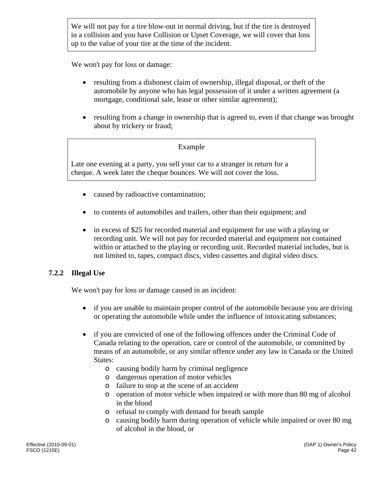We will not pay for a tire blow-out in normal driving, but if the tire is destroyed in a collision and you have Collision or Upset Coverage, we will cover that loss up to the value of your tire at the time of the incident.

We won't pay for loss or damage:

- resulting from a dishonest claim of ownership, illegal disposal, or theft of the automobile by anyone who has legal possession of it under a written agreement (a mortgage, conditional sale, lease or other similar agreement);
- resulting from a change in ownership that is agreed to, even if that change was brought about by trickery or fraud;

# Example

Late one evening at a party, you sell your car to a stranger in return for a cheque. A week later the cheque bounces. We will not cover the loss.

- caused by radioactive contamination;
- to contents of automobiles and trailers, other than their equipment; and
- in excess of \$25 for recorded material and equipment for use with a playing or recording unit. We will not pay for recorded material and equipment not contained within or attached to the playing or recording unit. Recorded material includes, but is not limited to, tapes, compact discs, video cassettes and digital video discs.

# **7.2.2 Illegal Use**

We won't pay for loss or damage caused in an incident:

- if you are unable to maintain proper control of the automobile because you are driving or operating the automobile while under the influence of intoxicating substances;
- if you are convicted of one of the following offences under the Criminal Code of Canada relating to the operation, care or control of the automobile, or committed by means of an automobile, or any similar offence under any law in Canada or the United States:
	- o causing bodily harm by criminal negligence
	- o dangerous operation of motor vehicles
	- o failure to stop at the scene of an accident
	- o operation of motor vehicle when impaired or with more than 80 mg of alcohol in the blood
	- o refusal to comply with demand for breath sample
	- o causing bodily harm during operation of vehicle while impaired or over 80 mg of alcohol in the blood, or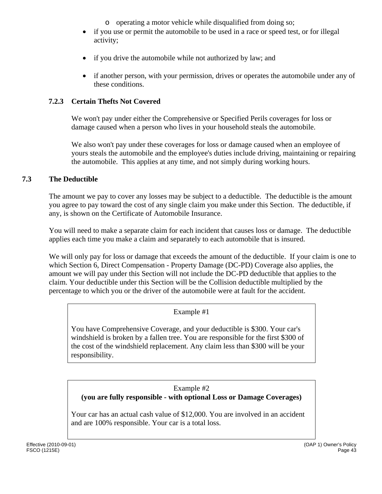o operating a motor vehicle while disqualified from doing so;

- if you use or permit the automobile to be used in a race or speed test, or for illegal activity;
- if you drive the automobile while not authorized by law; and
- if another person, with your permission, drives or operates the automobile under any of these conditions.

# **7.2.3 Certain Thefts Not Covered**

We won't pay under either the Comprehensive or Specified Perils coverages for loss or damage caused when a person who lives in your household steals the automobile.

We also won't pay under these coverages for loss or damage caused when an employee of yours steals the automobile and the employee's duties include driving, maintaining or repairing the automobile. This applies at any time, and not simply during working hours.

# **7.3 The Deductible**

The amount we pay to cover any losses may be subject to a deductible. The deductible is the amount you agree to pay toward the cost of any single claim you make under this Section. The deductible, if any, is shown on the Certificate of Automobile Insurance.

You will need to make a separate claim for each incident that causes loss or damage. The deductible applies each time you make a claim and separately to each automobile that is insured.

We will only pay for loss or damage that exceeds the amount of the deductible. If your claim is one to which Section 6, Direct Compensation - Property Damage (DC-PD) Coverage also applies, the amount we will pay under this Section will not include the DC-PD deductible that applies to the claim. Your deductible under this Section will be the Collision deductible multiplied by the percentage to which you or the driver of the automobile were at fault for the accident.

Example #1

You have Comprehensive Coverage, and your deductible is \$300. Your car's windshield is broken by a fallen tree. You are responsible for the first \$300 of the cost of the windshield replacement. Any claim less than \$300 will be your responsibility.

# Example #2 **(you are fully responsible - with optional Loss or Damage Coverages)**

Your car has an actual cash value of \$12,000. You are involved in an accident and are 100% responsible. Your car is a total loss.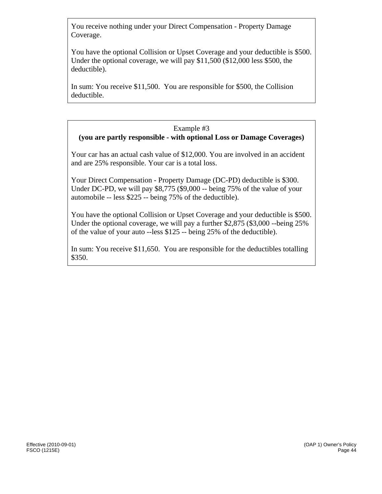You receive nothing under your Direct Compensation - Property Damage Coverage.

You have the optional Collision or Upset Coverage and your deductible is \$500. Under the optional coverage, we will pay \$11,500 (\$12,000 less \$500, the deductible).

In sum: You receive \$11,500. You are responsible for \$500, the Collision deductible.

# Example #3

# **(you are partly responsible - with optional Loss or Damage Coverages)**

Your car has an actual cash value of \$12,000. You are involved in an accident and are 25% responsible. Your car is a total loss.

Your Direct Compensation - Property Damage (DC-PD) deductible is \$300. Under DC-PD, we will pay \$8,775 (\$9,000 -- being 75% of the value of your automobile -- less \$225 -- being 75% of the deductible).

You have the optional Collision or Upset Coverage and your deductible is \$500. Under the optional coverage, we will pay a further \$2,875 (\$3,000 --being 25% of the value of your auto --less \$125 -- being 25% of the deductible).

In sum: You receive \$11,650. You are responsible for the deductibles totalling \$350.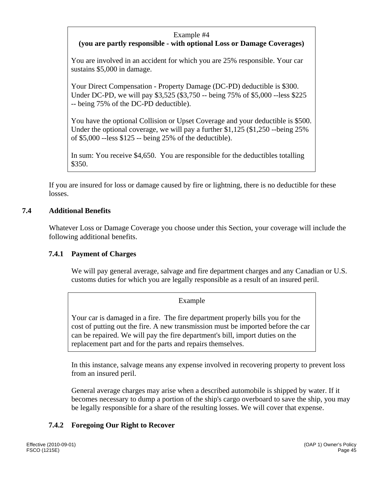#### Example #4

# **(you are partly responsible - with optional Loss or Damage Coverages)**

You are involved in an accident for which you are 25% responsible. Your car sustains \$5,000 in damage.

Your Direct Compensation - Property Damage (DC-PD) deductible is \$300. Under DC-PD, we will pay \$3,525 (\$3,750 -- being 75% of \$5,000 --less \$225 -- being 75% of the DC-PD deductible).

You have the optional Collision or Upset Coverage and your deductible is \$500. Under the optional coverage, we will pay a further  $$1,125$  ( $$1,250$  --being 25%) of \$5,000 --less \$125 -- being 25% of the deductible).

In sum: You receive \$4,650. You are responsible for the deductibles totalling \$350.

If you are insured for loss or damage caused by fire or lightning, there is no deductible for these losses.

# **7.4 Additional Benefits**

Whatever Loss or Damage Coverage you choose under this Section, your coverage will include the following additional benefits.

# **7.4.1 Payment of Charges**

We will pay general average, salvage and fire department charges and any Canadian or U.S. customs duties for which you are legally responsible as a result of an insured peril.

# Example

Your car is damaged in a fire. The fire department properly bills you for the cost of putting out the fire. A new transmission must be imported before the car can be repaired. We will pay the fire department's bill, import duties on the replacement part and for the parts and repairs themselves.

In this instance, salvage means any expense involved in recovering property to prevent loss from an insured peril.

General average charges may arise when a described automobile is shipped by water. If it becomes necessary to dump a portion of the ship's cargo overboard to save the ship, you may be legally responsible for a share of the resulting losses. We will cover that expense.

# **7.4.2 Foregoing Our Right to Recover**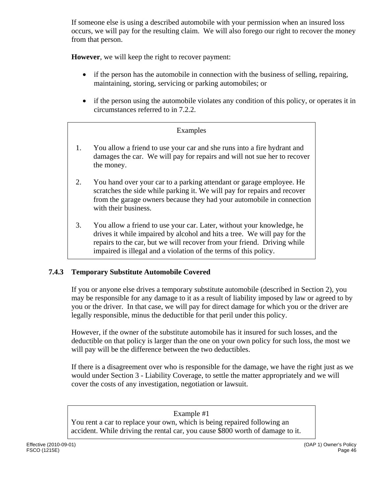If someone else is using a described automobile with your permission when an insured loss occurs, we will pay for the resulting claim. We will also forego our right to recover the money from that person.

**However**, we will keep the right to recover payment:

- if the person has the automobile in connection with the business of selling, repairing, maintaining, storing, servicing or parking automobiles; or
- if the person using the automobile violates any condition of this policy, or operates it in circumstances referred to in 7.2.2.

# Examples

- 1. You allow a friend to use your car and she runs into a fire hydrant and damages the car. We will pay for repairs and will not sue her to recover the money.
- 2. You hand over your car to a parking attendant or garage employee. He scratches the side while parking it. We will pay for repairs and recover from the garage owners because they had your automobile in connection with their business.
- 3. You allow a friend to use your car. Later, without your knowledge, he drives it while impaired by alcohol and hits a tree. We will pay for the repairs to the car, but we will recover from your friend. Driving while impaired is illegal and a violation of the terms of this policy.

# **7.4.3 Temporary Substitute Automobile Covered**

If you or anyone else drives a temporary substitute automobile (described in Section 2), you may be responsible for any damage to it as a result of liability imposed by law or agreed to by you or the driver. In that case, we will pay for direct damage for which you or the driver are legally responsible, minus the deductible for that peril under this policy.

However, if the owner of the substitute automobile has it insured for such losses, and the deductible on that policy is larger than the one on your own policy for such loss, the most we will pay will be the difference between the two deductibles.

If there is a disagreement over who is responsible for the damage, we have the right just as we would under Section 3 - Liability Coverage, to settle the matter appropriately and we will cover the costs of any investigation, negotiation or lawsuit.

Example #1 You rent a car to replace your own, which is being repaired following an accident. While driving the rental car, you cause \$800 worth of damage to it.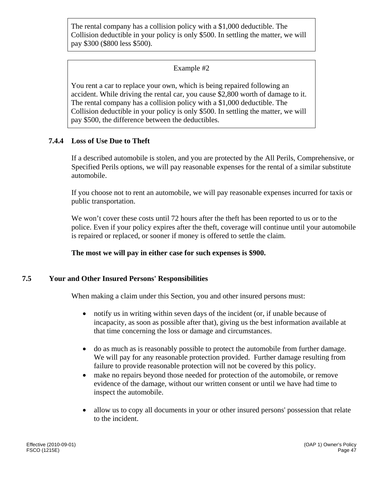The rental company has a collision policy with a \$1,000 deductible. The Collision deductible in your policy is only \$500. In settling the matter, we will pay \$300 (\$800 less \$500).

# Example #2

You rent a car to replace your own, which is being repaired following an accident. While driving the rental car, you cause \$2,800 worth of damage to it. The rental company has a collision policy with a \$1,000 deductible. The Collision deductible in your policy is only \$500. In settling the matter, we will pay \$500, the difference between the deductibles.

# **7.4.4 Loss of Use Due to Theft**

If a described automobile is stolen, and you are protected by the All Perils, Comprehensive, or Specified Perils options, we will pay reasonable expenses for the rental of a similar substitute automobile.

If you choose not to rent an automobile, we will pay reasonable expenses incurred for taxis or public transportation.

We won't cover these costs until 72 hours after the theft has been reported to us or to the police. Even if your policy expires after the theft, coverage will continue until your automobile is repaired or replaced, or sooner if money is offered to settle the claim.

**The most we will pay in either case for such expenses is \$900.** 

# **7.5 Your and Other Insured Persons' Responsibilities**

When making a claim under this Section, you and other insured persons must:

- notify us in writing within seven days of the incident (or, if unable because of incapacity, as soon as possible after that), giving us the best information available at that time concerning the loss or damage and circumstances.
- do as much as is reasonably possible to protect the automobile from further damage. We will pay for any reasonable protection provided. Further damage resulting from failure to provide reasonable protection will not be covered by this policy.
- make no repairs beyond those needed for protection of the automobile, or remove evidence of the damage, without our written consent or until we have had time to inspect the automobile.
- allow us to copy all documents in your or other insured persons' possession that relate to the incident.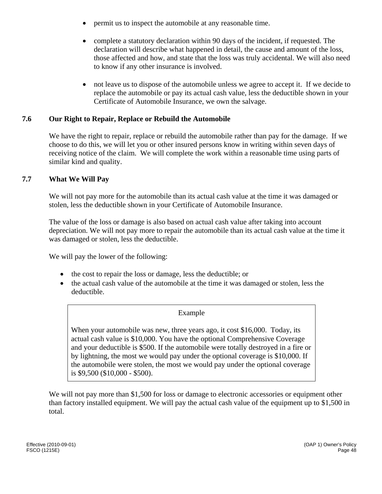- permit us to inspect the automobile at any reasonable time.
- complete a statutory declaration within 90 days of the incident, if requested. The declaration will describe what happened in detail, the cause and amount of the loss, those affected and how, and state that the loss was truly accidental. We will also need to know if any other insurance is involved.
- not leave us to dispose of the automobile unless we agree to accept it. If we decide to replace the automobile or pay its actual cash value, less the deductible shown in your Certificate of Automobile Insurance, we own the salvage.

# **7.6 Our Right to Repair, Replace or Rebuild the Automobile**

We have the right to repair, replace or rebuild the automobile rather than pay for the damage. If we choose to do this, we will let you or other insured persons know in writing within seven days of receiving notice of the claim. We will complete the work within a reasonable time using parts of similar kind and quality.

### **7.7 What We Will Pay**

We will not pay more for the automobile than its actual cash value at the time it was damaged or stolen, less the deductible shown in your Certificate of Automobile Insurance.

The value of the loss or damage is also based on actual cash value after taking into account depreciation. We will not pay more to repair the automobile than its actual cash value at the time it was damaged or stolen, less the deductible.

We will pay the lower of the following:

- the cost to repair the loss or damage, less the deductible; or
- the actual cash value of the automobile at the time it was damaged or stolen, less the deductible.

# Example

When your automobile was new, three years ago, it cost \$16,000. Today, its actual cash value is \$10,000. You have the optional Comprehensive Coverage and your deductible is \$500. If the automobile were totally destroyed in a fire or by lightning, the most we would pay under the optional coverage is \$10,000. If the automobile were stolen, the most we would pay under the optional coverage is \$9,500 (\$10,000 - \$500).

We will not pay more than \$1,500 for loss or damage to electronic accessories or equipment other than factory installed equipment. We will pay the actual cash value of the equipment up to \$1,500 in total.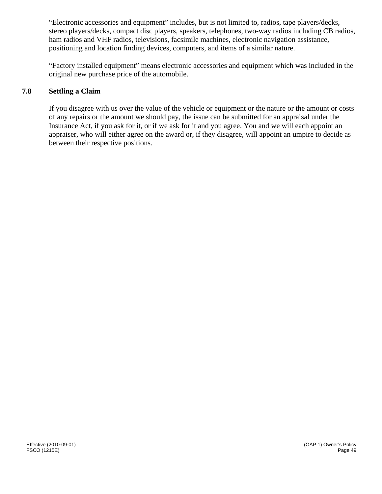"Electronic accessories and equipment" includes, but is not limited to, radios, tape players/decks, stereo players/decks, compact disc players, speakers, telephones, two-way radios including CB radios, ham radios and VHF radios, televisions, facsimile machines, electronic navigation assistance, positioning and location finding devices, computers, and items of a similar nature.

"Factory installed equipment" means electronic accessories and equipment which was included in the original new purchase price of the automobile.

# **7.8 Settling a Claim**

If you disagree with us over the value of the vehicle or equipment or the nature or the amount or costs of any repairs or the amount we should pay, the issue can be submitted for an appraisal under the Insurance Act, if you ask for it, or if we ask for it and you agree. You and we will each appoint an appraiser, who will either agree on the award or, if they disagree, will appoint an umpire to decide as between their respective positions.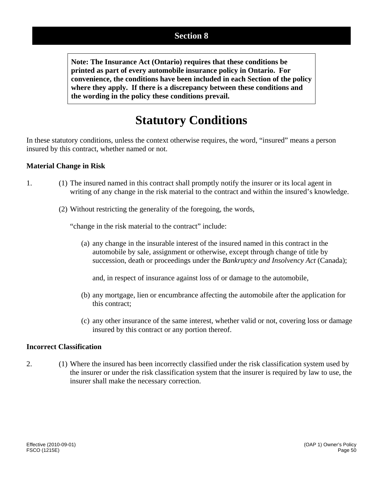# **Section 8**

**Note: The Insurance Act (Ontario) requires that these conditions be printed as part of every automobile insurance policy in Ontario. For convenience, the conditions have been included in each Section of the policy where they apply. If there is a discrepancy between these conditions and the wording in the policy these conditions prevail.** 

# **Statutory Conditions**

In these statutory conditions, unless the context otherwise requires, the word, "insured" means a person insured by this contract, whether named or not.

#### **Material Change in Risk**

- 1. (1) The insured named in this contract shall promptly notify the insurer or its local agent in writing of any change in the risk material to the contract and within the insured's knowledge.
	- (2) Without restricting the generality of the foregoing, the words,

"change in the risk material to the contract" include:

(a) any change in the insurable interest of the insured named in this contract in the automobile by sale, assignment or otherwise, except through change of title by succession, death or proceedings under the *Bankruptcy and Insolvency Act* (Canada);

and, in respect of insurance against loss of or damage to the automobile,

- (b) any mortgage, lien or encumbrance affecting the automobile after the application for this contract;
- (c) any other insurance of the same interest, whether valid or not, covering loss or damage insured by this contract or any portion thereof.

#### **Incorrect Classification**

2. (1) Where the insured has been incorrectly classified under the risk classification system used by the insurer or under the risk classification system that the insurer is required by law to use, the insurer shall make the necessary correction.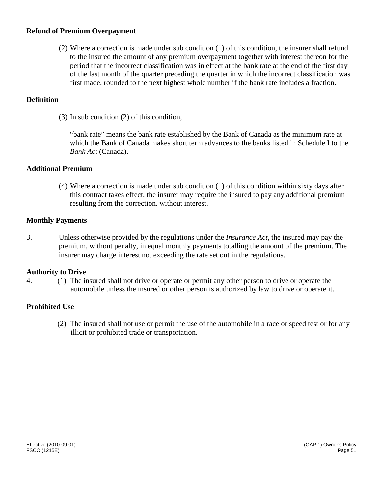### **Refund of Premium Overpayment**

(2) Where a correction is made under sub condition (1) of this condition, the insurer shall refund to the insured the amount of any premium overpayment together with interest thereon for the period that the incorrect classification was in effect at the bank rate at the end of the first day of the last month of the quarter preceding the quarter in which the incorrect classification was first made, rounded to the next highest whole number if the bank rate includes a fraction.

#### **Definition**

(3) In sub condition (2) of this condition,

"bank rate" means the bank rate established by the Bank of Canada as the minimum rate at which the Bank of Canada makes short term advances to the banks listed in Schedule I to the *Bank Act* (Canada).

#### **Additional Premium**

(4) Where a correction is made under sub condition (1) of this condition within sixty days after this contract takes effect, the insurer may require the insured to pay any additional premium resulting from the correction, without interest.

#### **Monthly Payments**

3. Unless otherwise provided by the regulations under the *Insurance Act*, the insured may pay the premium, without penalty, in equal monthly payments totalling the amount of the premium. The insurer may charge interest not exceeding the rate set out in the regulations.

#### **Authority to Drive**

4. (1) The insured shall not drive or operate or permit any other person to drive or operate the automobile unless the insured or other person is authorized by law to drive or operate it.

#### **Prohibited Use**

(2) The insured shall not use or permit the use of the automobile in a race or speed test or for any illicit or prohibited trade or transportation.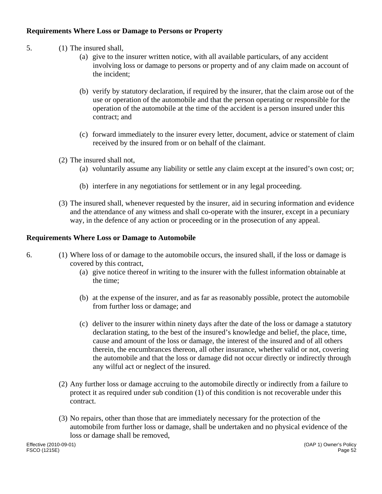# **Requirements Where Loss or Damage to Persons or Property**

- 5. (1) The insured shall,
	- (a) give to the insurer written notice, with all available particulars, of any accident involving loss or damage to persons or property and of any claim made on account of the incident;
	- (b) verify by statutory declaration, if required by the insurer, that the claim arose out of the use or operation of the automobile and that the person operating or responsible for the operation of the automobile at the time of the accident is a person insured under this contract; and
	- (c) forward immediately to the insurer every letter, document, advice or statement of claim received by the insured from or on behalf of the claimant.
	- (2) The insured shall not,
		- (a) voluntarily assume any liability or settle any claim except at the insured's own cost; or;
		- (b) interfere in any negotiations for settlement or in any legal proceeding.
	- (3) The insured shall, whenever requested by the insurer, aid in securing information and evidence and the attendance of any witness and shall co-operate with the insurer, except in a pecuniary way, in the defence of any action or proceeding or in the prosecution of any appeal.

#### **Requirements Where Loss or Damage to Automobile**

- 6. (1) Where loss of or damage to the automobile occurs, the insured shall, if the loss or damage is covered by this contract,
	- (a) give notice thereof in writing to the insurer with the fullest information obtainable at the time;
	- (b) at the expense of the insurer, and as far as reasonably possible, protect the automobile from further loss or damage; and
	- (c) deliver to the insurer within ninety days after the date of the loss or damage a statutory declaration stating, to the best of the insured's knowledge and belief, the place, time, cause and amount of the loss or damage, the interest of the insured and of all others therein, the encumbrances thereon, all other insurance, whether valid or not, covering the automobile and that the loss or damage did not occur directly or indirectly through any wilful act or neglect of the insured.
	- (2) Any further loss or damage accruing to the automobile directly or indirectly from a failure to protect it as required under sub condition (1) of this condition is not recoverable under this contract.
	- (3) No repairs, other than those that are immediately necessary for the protection of the automobile from further loss or damage, shall be undertaken and no physical evidence of the loss or damage shall be removed,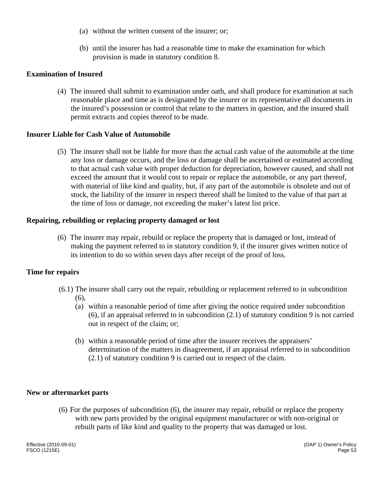- (a) without the written consent of the insurer; or;
- (b) until the insurer has had a reasonable time to make the examination for which provision is made in statutory condition 8.

#### **Examination of Insured**

(4) The insured shall submit to examination under oath, and shall produce for examination at such reasonable place and time as is designated by the insurer or its representative all documents in the insured's possession or control that relate to the matters in question, and the insured shall permit extracts and copies thereof to be made.

### **Insurer Liable for Cash Value of Automobile**

(5) The insurer shall not be liable for more than the actual cash value of the automobile at the time any loss or damage occurs, and the loss or damage shall be ascertained or estimated according to that actual cash value with proper deduction for depreciation, however caused, and shall not exceed the amount that it would cost to repair or replace the automobile, or any part thereof, with material of like kind and quality, but, if any part of the automobile is obsolete and out of stock, the liability of the insurer in respect thereof shall be limited to the value of that part at the time of loss or damage, not exceeding the maker's latest list price.

#### **Repairing, rebuilding or replacing property damaged or lost**

(6) The insurer may repair, rebuild or replace the property that is damaged or lost, instead of making the payment referred to in statutory condition 9, if the insurer gives written notice of its intention to do so within seven days after receipt of the proof of loss.

#### **Time for repairs**

- (6.1) The insurer shall carry out the repair, rebuilding or replacement referred to in subcondition (6),
	- (a) within a reasonable period of time after giving the notice required under subcondition (6), if an appraisal referred to in subcondition (2.1) of statutory condition 9 is not carried out in respect of the claim; or;
	- (b) within a reasonable period of time after the insurer receives the appraisers' determination of the matters in disagreement, if an appraisal referred to in subcondition (2.1) of statutory condition 9 is carried out in respect of the claim.

#### **New or aftermarket parts**

(6) For the purposes of subcondition (6), the insurer may repair, rebuild or replace the property with new parts provided by the original equipment manufacturer or with non-original or rebuilt parts of like kind and quality to the property that was damaged or lost.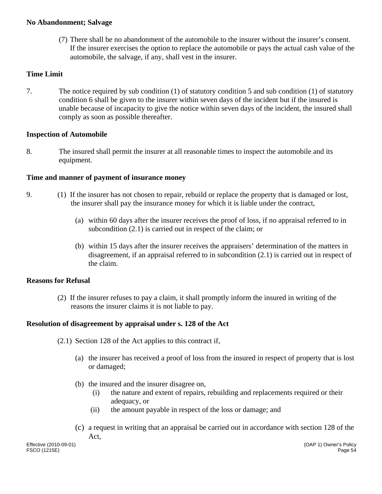#### **No Abandonment; Salvage**

(7) There shall be no abandonment of the automobile to the insurer without the insurer's consent. If the insurer exercises the option to replace the automobile or pays the actual cash value of the automobile, the salvage, if any, shall vest in the insurer.

# **Time Limit**

7. The notice required by sub condition (1) of statutory condition 5 and sub condition (1) of statutory condition 6 shall be given to the insurer within seven days of the incident but if the insured is unable because of incapacity to give the notice within seven days of the incident, the insured shall comply as soon as possible thereafter.

### **Inspection of Automobile**

8. The insured shall permit the insurer at all reasonable times to inspect the automobile and its equipment.

### **Time and manner of payment of insurance money**

- 9. (1) If the insurer has not chosen to repair, rebuild or replace the property that is damaged or lost, the insurer shall pay the insurance money for which it is liable under the contract,
	- (a) within 60 days after the insurer receives the proof of loss, if no appraisal referred to in subcondition (2.1) is carried out in respect of the claim; or
	- (b) within 15 days after the insurer receives the appraisers' determination of the matters in disagreement, if an appraisal referred to in subcondition (2.1) is carried out in respect of the claim.

#### **Reasons for Refusal**

(2) If the insurer refuses to pay a claim, it shall promptly inform the insured in writing of the reasons the insurer claims it is not liable to pay.

#### **Resolution of disagreement by appraisal under s. 128 of the Act**

- (2.1) Section 128 of the Act applies to this contract if,
	- (a) the insurer has received a proof of loss from the insured in respect of property that is lost or damaged;
	- (b) the insured and the insurer disagree on,
		- (i) the nature and extent of repairs, rebuilding and replacements required or their adequacy, or
		- (ii) the amount payable in respect of the loss or damage; and
	- (c) a request in writing that an appraisal be carried out in accordance with section 128 of the Act,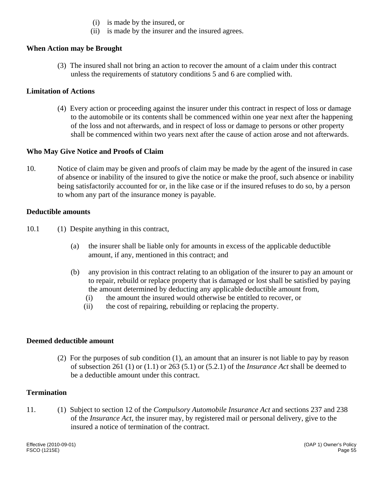- (i) is made by the insured, or
- (ii) is made by the insurer and the insured agrees.

# **When Action may be Brought**

(3) The insured shall not bring an action to recover the amount of a claim under this contract unless the requirements of statutory conditions 5 and 6 are complied with.

# **Limitation of Actions**

 (4) Every action or proceeding against the insurer under this contract in respect of loss or damage to the automobile or its contents shall be commenced within one year next after the happening of the loss and not afterwards, and in respect of loss or damage to persons or other property shall be commenced within two years next after the cause of action arose and not afterwards.

# **Who May Give Notice and Proofs of Claim**

10. Notice of claim may be given and proofs of claim may be made by the agent of the insured in case of absence or inability of the insured to give the notice or make the proof, such absence or inability being satisfactorily accounted for or, in the like case or if the insured refuses to do so, by a person to whom any part of the insurance money is payable.

# **Deductible amounts**

- 10.1 (1) Despite anything in this contract,
	- (a) the insurer shall be liable only for amounts in excess of the applicable deductible amount, if any, mentioned in this contract; and
	- (b) any provision in this contract relating to an obligation of the insurer to pay an amount or to repair, rebuild or replace property that is damaged or lost shall be satisfied by paying the amount determined by deducting any applicable deductible amount from,
		- (i) the amount the insured would otherwise be entitled to recover, or
		- (ii) the cost of repairing, rebuilding or replacing the property.

# **Deemed deductible amount**

(2) For the purposes of sub condition (1), an amount that an insurer is not liable to pay by reason of subsection 261 (1) or (1.1) or 263 (5.1) or (5.2.1) of the *Insurance Act* shall be deemed to be a deductible amount under this contract.

# **Termination**

11. (1) Subject to section 12 of the *Compulsory Automobile Insurance Act* and sections 237 and 238 of the *Insurance Act*, the insurer may, by registered mail or personal delivery, give to the insured a notice of termination of the contract.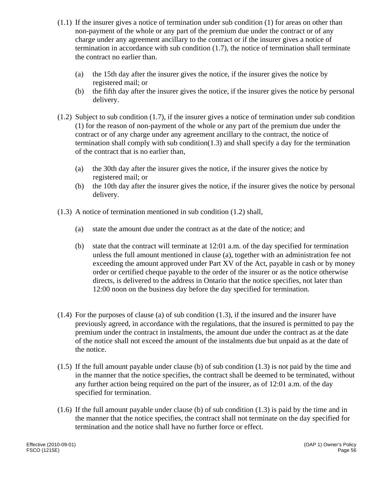- (1.1) If the insurer gives a notice of termination under sub condition (1) for areas on other than non-payment of the whole or any part of the premium due under the contract or of any charge under any agreement ancillary to the contract or if the insurer gives a notice of termination in accordance with sub condition (1.7), the notice of termination shall terminate the contract no earlier than.
	- (a) the 15th day after the insurer gives the notice, if the insurer gives the notice by registered mail; or
	- (b) the fifth day after the insurer gives the notice, if the insurer gives the notice by personal delivery.
- (1.2) Subject to sub condition (1.7), if the insurer gives a notice of termination under sub condition (1) for the reason of non-payment of the whole or any part of the premium due under the contract or of any charge under any agreement ancillary to the contract, the notice of termination shall comply with sub condition(1.3) and shall specify a day for the termination of the contract that is no earlier than,
	- (a) the 30th day after the insurer gives the notice, if the insurer gives the notice by registered mail; or
	- (b) the 10th day after the insurer gives the notice, if the insurer gives the notice by personal delivery.
- (1.3) A notice of termination mentioned in sub condition (1.2) shall,
	- (a) state the amount due under the contract as at the date of the notice; and
	- (b) state that the contract will terminate at 12:01 a.m. of the day specified for termination unless the full amount mentioned in clause (a), together with an administration fee not exceeding the amount approved under Part XV of the Act, payable in cash or by money order or certified cheque payable to the order of the insurer or as the notice otherwise directs, is delivered to the address in Ontario that the notice specifies, not later than 12:00 noon on the business day before the day specified for termination.
- (1.4) For the purposes of clause (a) of sub condition (1.3), if the insured and the insurer have previously agreed, in accordance with the regulations, that the insured is permitted to pay the premium under the contract in instalments, the amount due under the contract as at the date of the notice shall not exceed the amount of the instalments due but unpaid as at the date of the notice.
- (1.5) If the full amount payable under clause (b) of sub condition (1.3) is not paid by the time and in the manner that the notice specifies, the contract shall be deemed to be terminated, without any further action being required on the part of the insurer, as of 12:01 a.m. of the day specified for termination.
- (1.6) If the full amount payable under clause (b) of sub condition (1.3) is paid by the time and in the manner that the notice specifies, the contract shall not terminate on the day specified for termination and the notice shall have no further force or effect.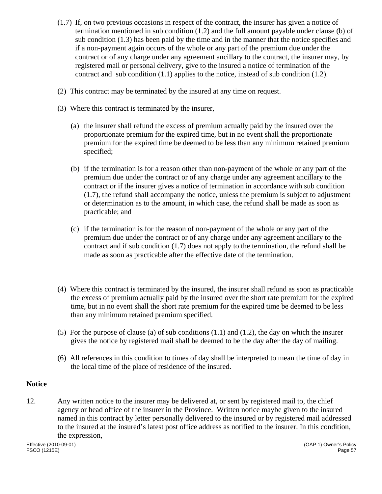- (1.7) If, on two previous occasions in respect of the contract, the insurer has given a notice of termination mentioned in sub condition (1.2) and the full amount payable under clause (b) of sub condition (1.3) has been paid by the time and in the manner that the notice specifies and if a non-payment again occurs of the whole or any part of the premium due under the contract or of any charge under any agreement ancillary to the contract, the insurer may, by registered mail or personal delivery, give to the insured a notice of termination of the contract and sub condition (1.1) applies to the notice, instead of sub condition (1.2).
- (2) This contract may be terminated by the insured at any time on request.
- (3) Where this contract is terminated by the insurer,
	- (a) the insurer shall refund the excess of premium actually paid by the insured over the proportionate premium for the expired time, but in no event shall the proportionate premium for the expired time be deemed to be less than any minimum retained premium specified;
	- (b) if the termination is for a reason other than non-payment of the whole or any part of the premium due under the contract or of any charge under any agreement ancillary to the contract or if the insurer gives a notice of termination in accordance with sub condition (1.7), the refund shall accompany the notice, unless the premium is subject to adjustment or determination as to the amount, in which case, the refund shall be made as soon as practicable; and
	- (c) if the termination is for the reason of non-payment of the whole or any part of the premium due under the contract or of any charge under any agreement ancillary to the contract and if sub condition (1.7) does not apply to the termination, the refund shall be made as soon as practicable after the effective date of the termination.
- (4) Where this contract is terminated by the insured, the insurer shall refund as soon as practicable the excess of premium actually paid by the insured over the short rate premium for the expired time, but in no event shall the short rate premium for the expired time be deemed to be less than any minimum retained premium specified.
- (5) For the purpose of clause (a) of sub conditions (1.1) and (1.2), the day on which the insurer gives the notice by registered mail shall be deemed to be the day after the day of mailing.
- (6) All references in this condition to times of day shall be interpreted to mean the time of day in the local time of the place of residence of the insured.

#### **Notice**

12. Any written notice to the insurer may be delivered at, or sent by registered mail to, the chief agency or head office of the insurer in the Province. Written notice maybe given to the insured named in this contract by letter personally delivered to the insured or by registered mail addressed to the insured at the insured's latest post office address as notified to the insurer. In this condition, the expression,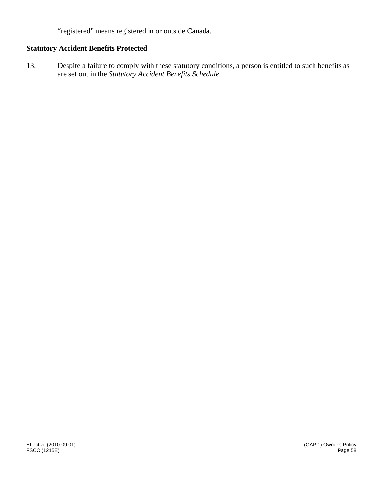"registered" means registered in or outside Canada.

# **Statutory Accident Benefits Protected**

13. Despite a failure to comply with these statutory conditions, a person is entitled to such benefits as are set out in the *Statutory Accident Benefits Schedule*.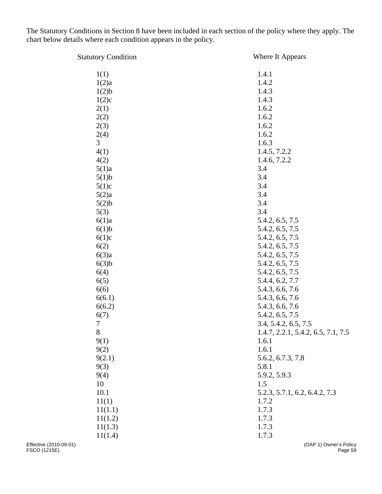The Statutory Conditions in Section 8 have been included in each section of the policy where they apply. The chart below details where each condition appears in the policy.

| <b>Statutory Condition</b>             | Where It Appears                   |
|----------------------------------------|------------------------------------|
| 1(1)                                   | 1.4.1                              |
| 1(2)a                                  | 1.4.2                              |
| 1(2)b                                  | 1.4.3                              |
| 1(2)c                                  | 1.4.3                              |
| 2(1)                                   | 1.6.2                              |
| 2(2)                                   | 1.6.2                              |
| 2(3)                                   | 1.6.2                              |
| 2(4)                                   | 1.6.2                              |
| 3                                      | 1.6.3                              |
| 4(1)                                   | 1.4.5, 7.2.2                       |
| 4(2)                                   | 1.4.6, 7.2.2                       |
| 5(1)a                                  | 3.4                                |
| 5(1)b                                  | 3.4                                |
| 5(1)c                                  | 3.4                                |
| 5(2)a                                  | 3.4                                |
| 5(2)b                                  | 3.4                                |
| 5(3)                                   | 3.4                                |
| 6(1)a                                  | 5.4.2, 6.5, 7.5                    |
| 6(1)b                                  | 5.4.2, 6.5, 7.5                    |
| 6(1)c                                  | 5.4.2, 6.5, 7.5                    |
| 6(2)                                   | 5.4.2, 6.5, 7.5                    |
|                                        | 5.4.2, 6.5, 7.5                    |
| 6(3)a                                  |                                    |
| 6(3)b                                  | 5.4.2, 6.5, 7.5                    |
| 6(4)                                   | 5.4.2, 6.5, 7.5                    |
| 6(5)                                   | 5.4.4, 6.2, 7.7                    |
| 6(6)                                   | 5.4.3, 6.6, 7.6                    |
| 6(6.1)                                 | 5.4.3, 6.6, 7.6                    |
| 6(6.2)                                 | 5.4.3, 6.6, 7.6                    |
| 6(7)                                   | 5.4.2, 6.5, 7.5                    |
| $\boldsymbol{7}$                       | 3.4, 5.4.2, 6.5, 7.5               |
| 8                                      | 1.4.7, 2.2.1, 5.4.2, 6.5, 7.1, 7.5 |
| 9(1)                                   | 1.6.1                              |
| 9(2)                                   | 1.6.1                              |
| 9(2.1)                                 | 5.6.2, 6.7.3, 7.8                  |
| 9(3)                                   | 5.8.1                              |
| 9(4)                                   | 5.9.2, 5.9.3                       |
| 10                                     | 1.5                                |
| 10.1                                   | 5.2.3, 5.7.1, 6.2, 6.4.2, 7.3      |
| 11(1)                                  | 1.7.2                              |
| 11(1.1)                                | 1.7.3                              |
| 11(1.2)                                | 1.7.3                              |
| 11(1.3)                                | 1.7.3                              |
| 11(1.4)                                | 1.7.3                              |
| Effective (2010-09-01)<br>FSCO (1215E) | (OAP 1) Owner's Policy<br>Page 59  |